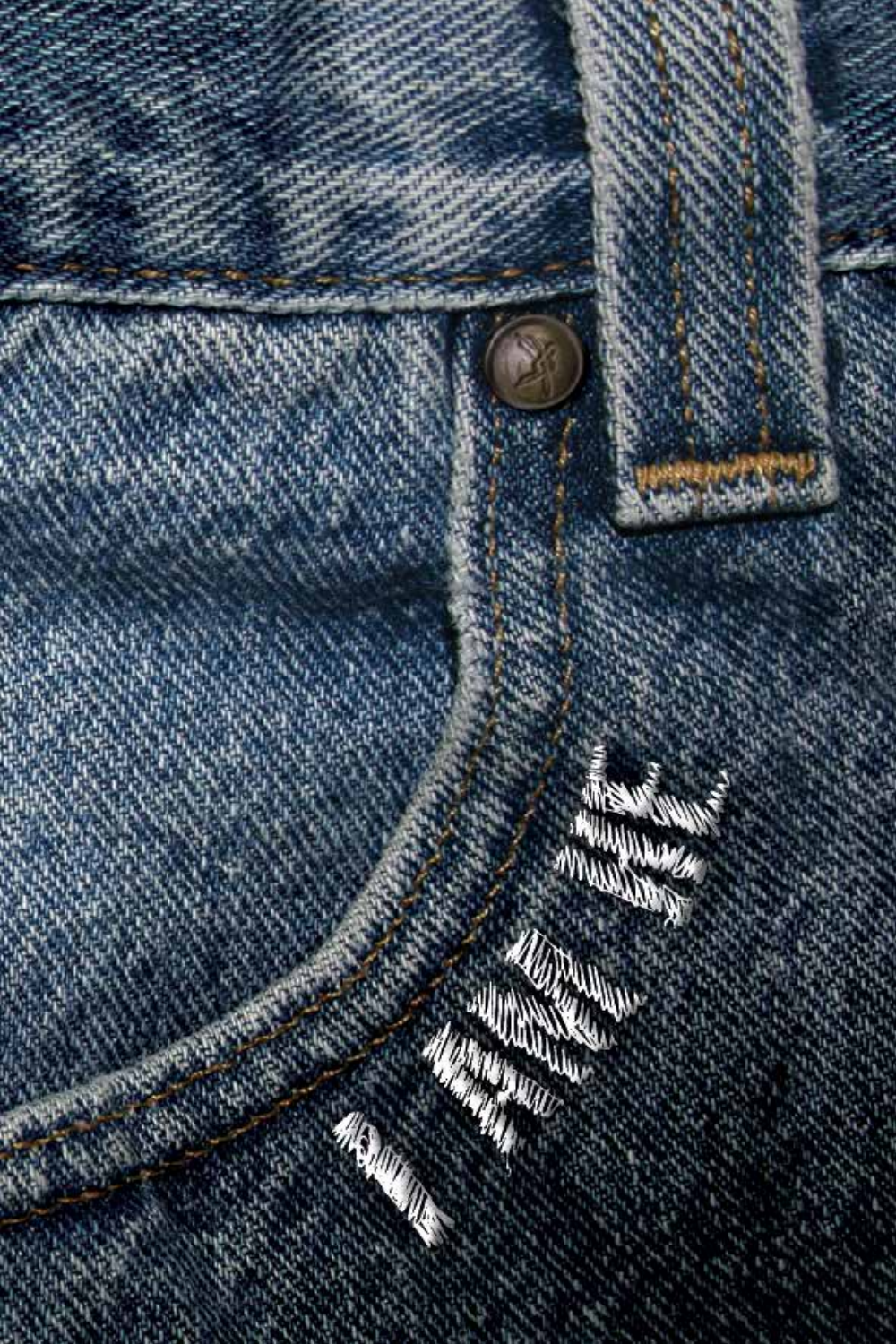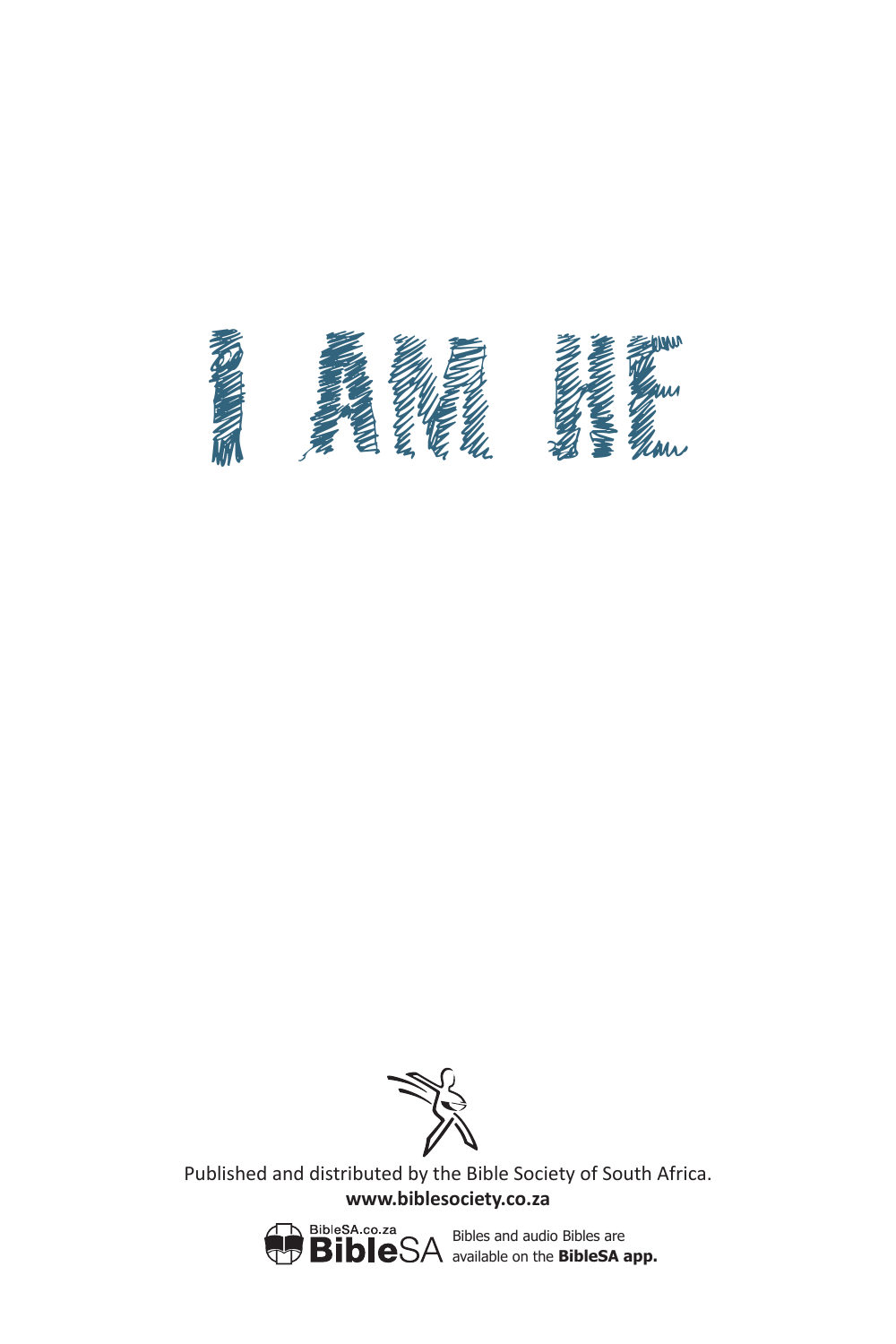



Published and distributed by the Bible Society of South Africa. **www.biblesociety.co.za**



Bibles and audio Bibles are available on the **BibleSA app.**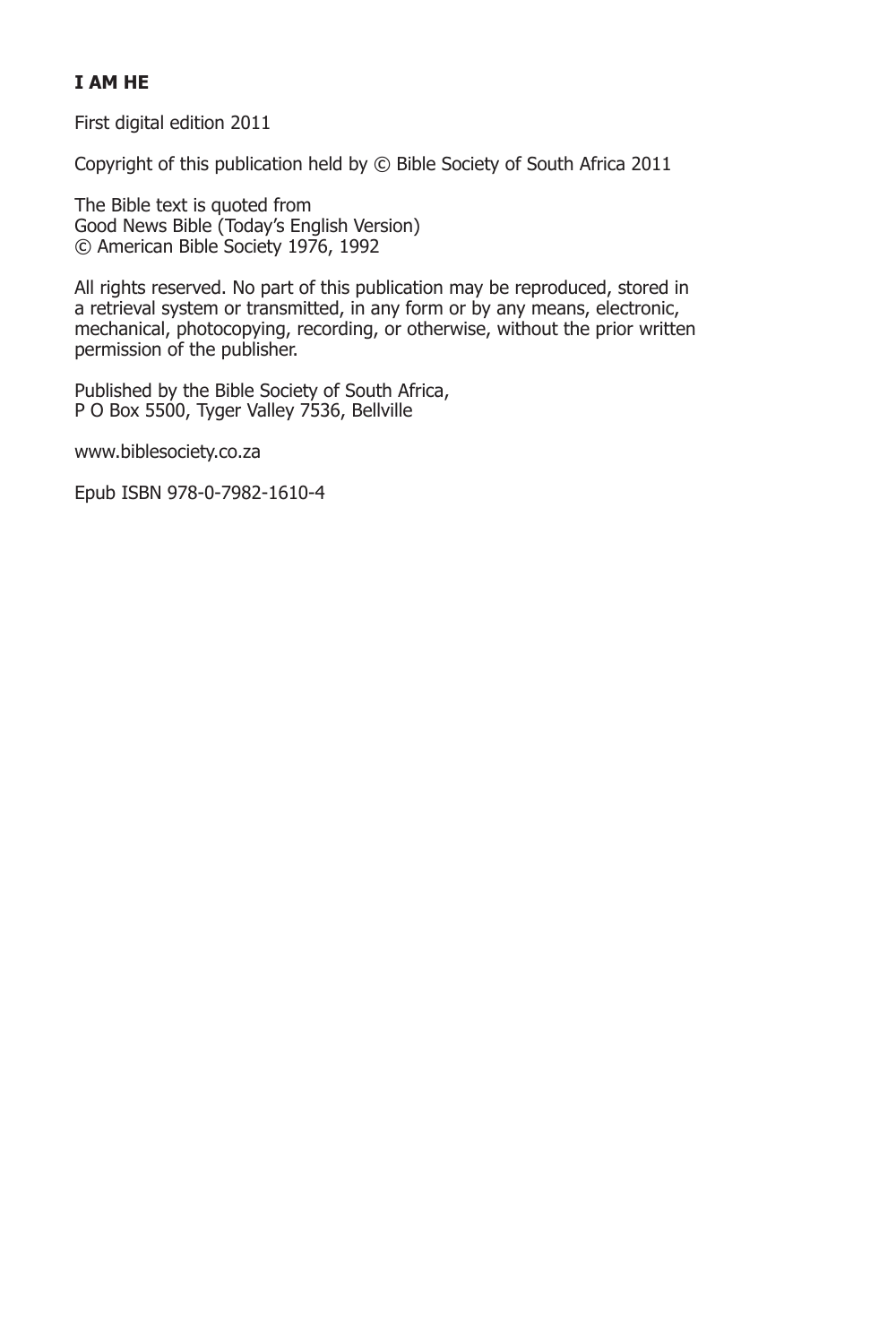#### **I AM HE**

First digital edition 2011

Copyright of this publication held by © Bible Society of South Africa 2011

The Bible text is quoted from Good News Bible (Today's English Version) © American Bible Society 1976, 1992

All rights reserved. No part of this publication may be reproduced, stored in a retrieval system or transmitted, in any form or by any means, electronic, mechanical, photocopying, recording, or otherwise, without the prior written permission of the publisher.

Published by the Bible Society of South Africa, P O Box 5500, Tyger Valley 7536, Bellville

www.biblesociety.co.za

Epub ISBN 978-0-7982-1610-4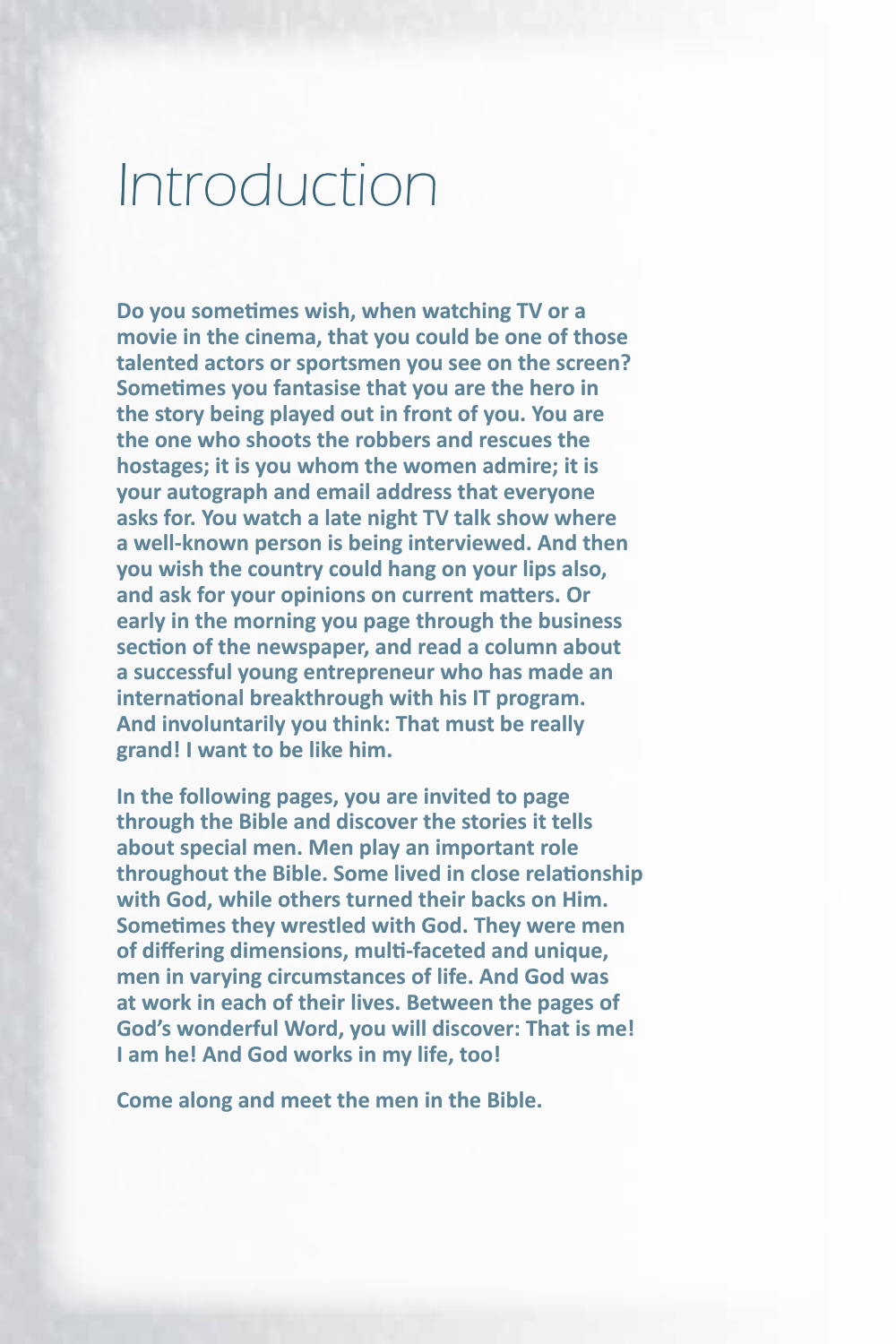## Introduction

**Do you sometimes wish, when watching TV or a movie in the cinema, that you could be one of those talented actors or sportsmen you see on the screen? Sometimes you fantasise that you are the hero in the story being played out in front of you. You are the one who shoots the robbers and rescues the hostages; it is you whom the women admire; it is your autograph and email address that everyone asks for. You watch a late night TV talk show where a well-known person is being interviewed. And then you wish the country could hang on your lips also, and ask for your opinions on current matters. Or early in the morning you page through the business section of the newspaper, and read a column about a successful young entrepreneur who has made an international breakthrough with his IT program. And involuntarily you think: That must be really grand! I want to be like him.**

**In the following pages, you are invited to page through the Bible and discover the stories it tells about special men. Men play an important role throughout the Bible. Some lived in close relationship with God, while others turned their backs on Him. Sometimes they wrestled with God. They were men of differing dimensions, multi-faceted and unique, men in varying circumstances of life. And God was at work in each of their lives. Between the pages of God's wonderful Word, you will discover: That is me! I am he! And God works in my life, too!**

**Come along and meet the men in the Bible.**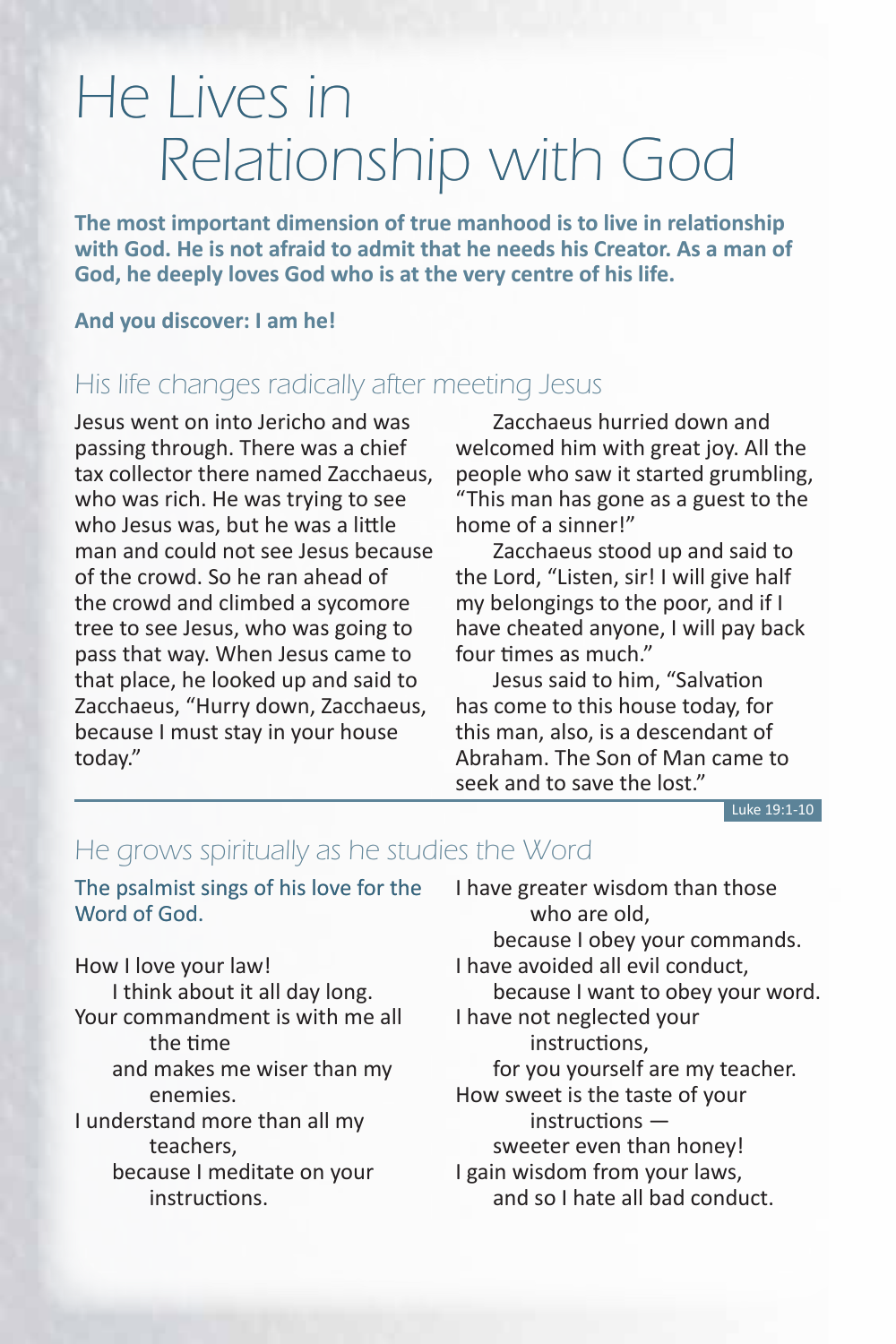## He Lives in Relationship with God

**The most important dimension of true manhood is to live in relationship with God. He is not afraid to admit that he needs his Creator. As a man of God, he deeply loves God who is at the very centre of his life.**

#### **And you discover: I am he!**

#### His life changes radically after meeting Jesus

Jesus went on into Jericho and was passing through. There was a chief tax collector there named Zacchaeus, who was rich. He was trying to see who Jesus was, but he was a little man and could not see Jesus because of the crowd. So he ran ahead of the crowd and climbed a sycomore tree to see Jesus, who was going to pass that way. When Jesus came to that place, he looked up and said to Zacchaeus, "Hurry down, Zacchaeus, because I must stay in your house today."

Zacchaeus hurried down and welcomed him with great joy. All the people who saw it started grumbling, "This man has gone as a guest to the home of a sinner!"

Zacchaeus stood up and said to the Lord, "Listen, sir! I will give half my belongings to the poor, and if I have cheated anyone, I will pay back four times as much."

Jesus said to him, "Salvation has come to this house today, for this man, also, is a descendant of Abraham. The Son of Man came to seek and to save the lost."

Luke 19:1-10

### He grows spiritually as he studies the Word

The psalmist sings of his love for the Word of God.

How I love your law! I think about it all day long. Your commandment is with me all the time and makes me wiser than my enemies. I understand more than all my teachers, because I meditate on your instructions.

I have greater wisdom than those who are old, because I obey your commands. I have avoided all evil conduct, because I want to obey your word. I have not neglected your instructions, for you yourself are my teacher. How sweet is the taste of your instructions sweeter even than honey! I gain wisdom from your laws, and so I hate all bad conduct.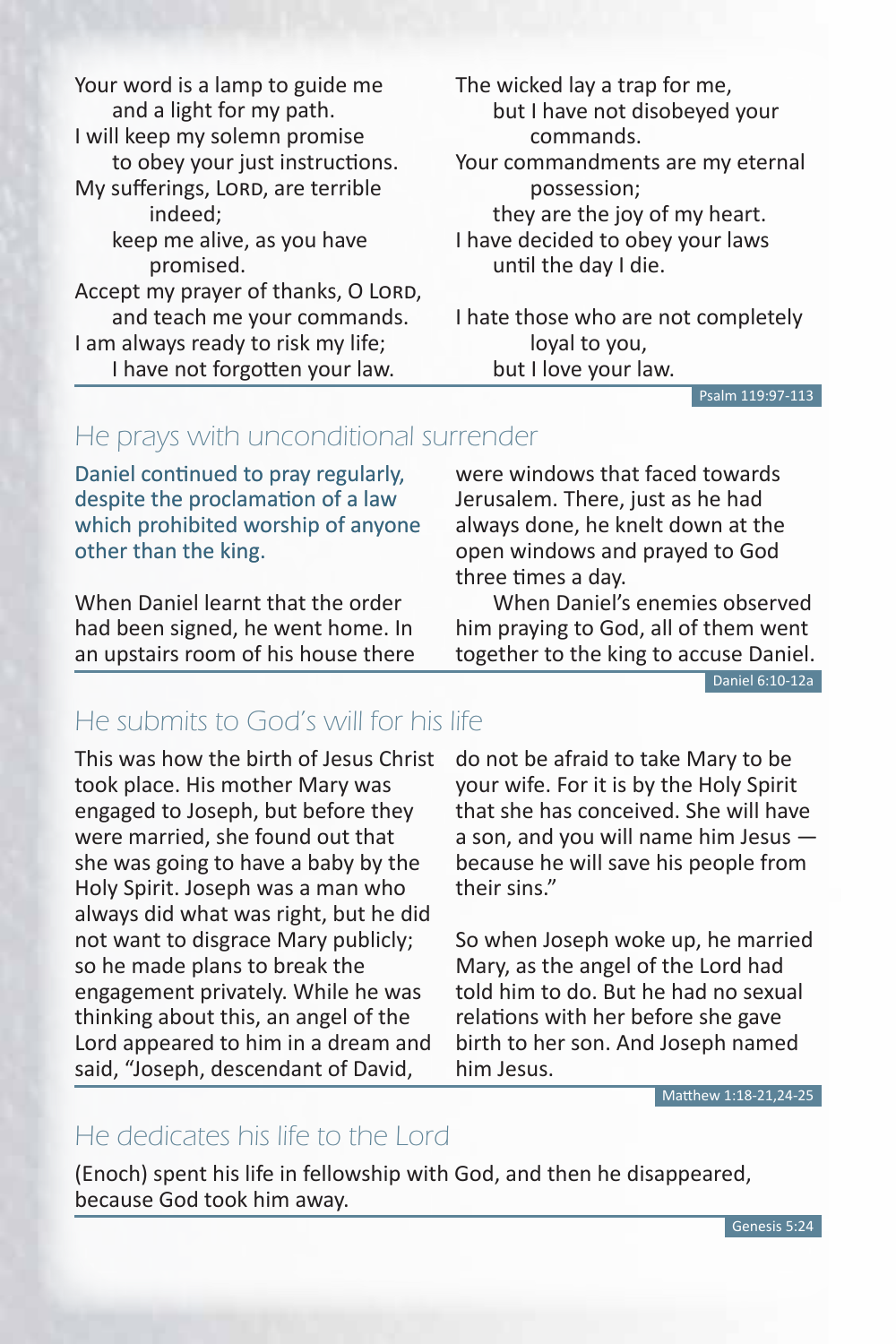| Your word is a lamp to guide me<br>and a light for my path. | The wicked lay a trap for me,<br>but I have not disobeyed your |
|-------------------------------------------------------------|----------------------------------------------------------------|
| I will keep my solemn promise                               | commands.                                                      |
| to obey your just instructions.                             | Your commandments are my eternal                               |
| My sufferings, LORD, are terrible                           | possession;                                                    |
| indeed;                                                     | they are the joy of my heart.                                  |
| keep me alive, as you have                                  | I have decided to obey your laws                               |
| promised.                                                   | until the day I die.                                           |
| Accept my prayer of thanks, O LORD,                         |                                                                |
| and teach me your commands.                                 | I hate those who are not completely                            |
| I am always ready to risk my life;                          | loyal to you,                                                  |
| I have not forgotten your law.                              | but I love your law.                                           |

Psalm 119:97-113

#### He prays with unconditional surrender

Daniel continued to pray regularly, despite the proclamation of a law which prohibited worship of anyone other than the king.

When Daniel learnt that the order had been signed, he went home. In an upstairs room of his house there were windows that faced towards Jerusalem. There, just as he had always done, he knelt down at the open windows and prayed to God three times a day.

When Daniel's enemies observed him praying to God, all of them went together to the king to accuse Daniel.

Daniel 6:10-12a

## He submits to God's will for his life

This was how the birth of Jesus Christ took place. His mother Mary was engaged to Joseph, but before they were married, she found out that she was going to have a baby by the Holy Spirit. Joseph was a man who always did what was right, but he did not want to disgrace Mary publicly; so he made plans to break the engagement privately. While he was thinking about this, an angel of the Lord appeared to him in a dream and said, "Joseph, descendant of David,

do not be afraid to take Mary to be your wife. For it is by the Holy Spirit that she has conceived. She will have a son, and you will name him Jesus because he will save his people from their sins."

So when Joseph woke up, he married Mary, as the angel of the Lord had told him to do. But he had no sexual relations with her before she gave birth to her son. And Joseph named him Jesus.

Matthew 1:18-21,24-25

## He dedicates his life to the Lord

(Enoch) spent his life in fellowship with God, and then he disappeared, because God took him away.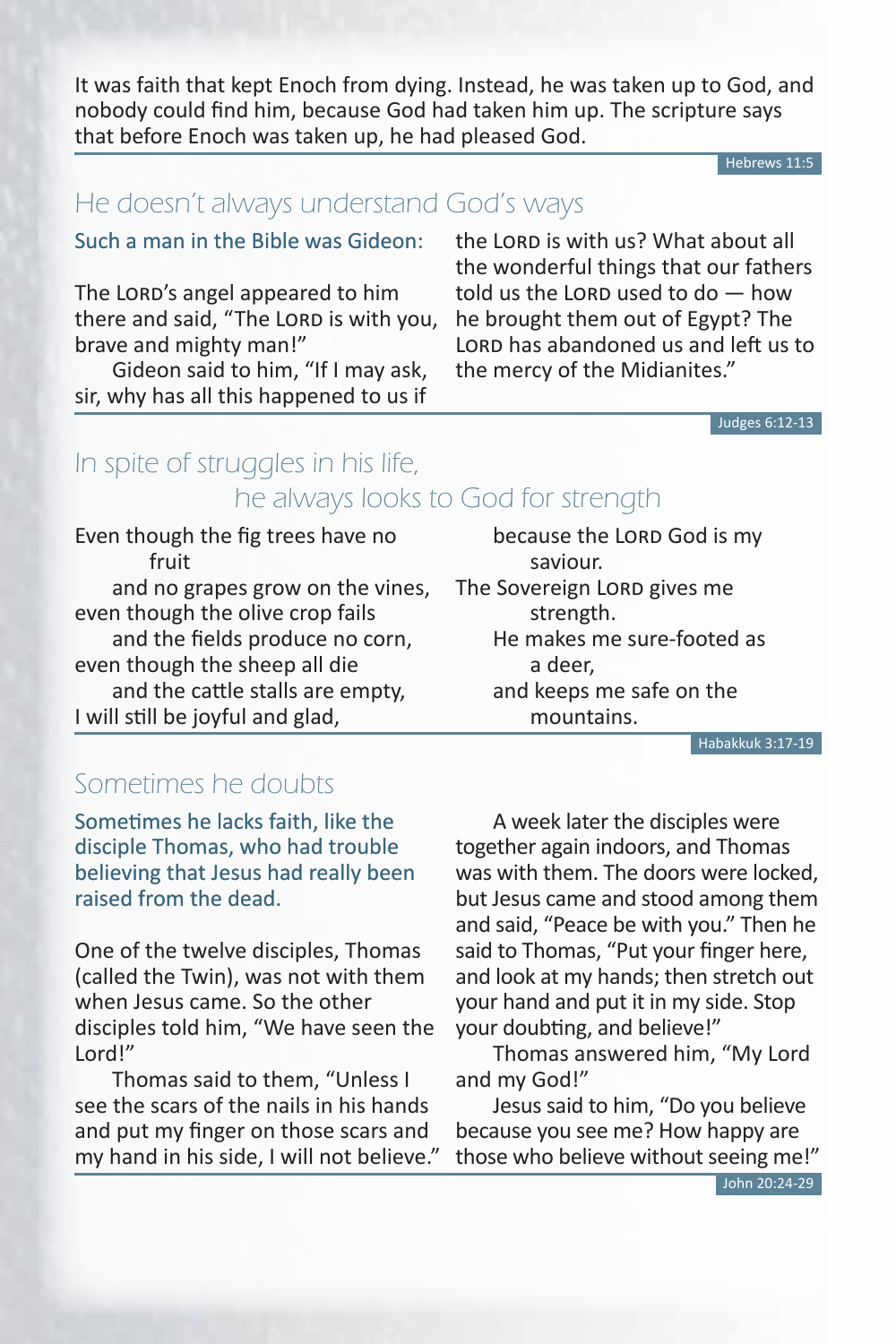It was faith that kept Enoch from dying. Instead, he was taken up to God, and nobody could find him, because God had taken him up. The scripture says that before Enoch was taken up, he had pleased God.

Hebrews 11:5

### He doesn't always understand God's ways

#### Such a man in the Bible was Gideon:

The LORD's angel appeared to him there and said, "The LORD is with you, brave and mighty man!"

Gideon said to him, "If I may ask, sir, why has all this happened to us if

the LORD is with us? What about all the wonderful things that our fathers told us the LORD used to  $do - how$ he brought them out of Egypt? The Lord has abandoned us and left us to the mercy of the Midianites."

Judges 6:12-13

## In spite of struggles in his life, he always looks to God for strength

Even though the fig trees have no fruit

and no grapes grow on the vines, even though the olive crop fails and the fields produce no corn, even though the sheep all die and the cattle stalls are empty, I will still be joyful and glad,

because the LORD God is my saviour. The Sovereign LORD gives me strength. He makes me sure-footed as a deer, and keeps me safe on the mountains.

Habakkuk 3:17-19

#### Sometimes he doubts

Sometimes he lacks faith, like the disciple Thomas, who had trouble believing that Jesus had really been raised from the dead.

One of the twelve disciples, Thomas (called the Twin), was not with them when Jesus came. So the other disciples told him, "We have seen the Lord!"

Thomas said to them, "Unless I see the scars of the nails in his hands and put my finger on those scars and my hand in his side, I will not believe."

A week later the disciples were together again indoors, and Thomas was with them. The doors were locked, but Jesus came and stood among them and said, "Peace be with you." Then he said to Thomas, "Put your finger here, and look at my hands; then stretch out your hand and put it in my side. Stop your doubting, and believe!"

Thomas answered him, "My Lord and my God!"

Jesus said to him, "Do you believe because you see me? How happy are those who believe without seeing me!"

John 20:24-29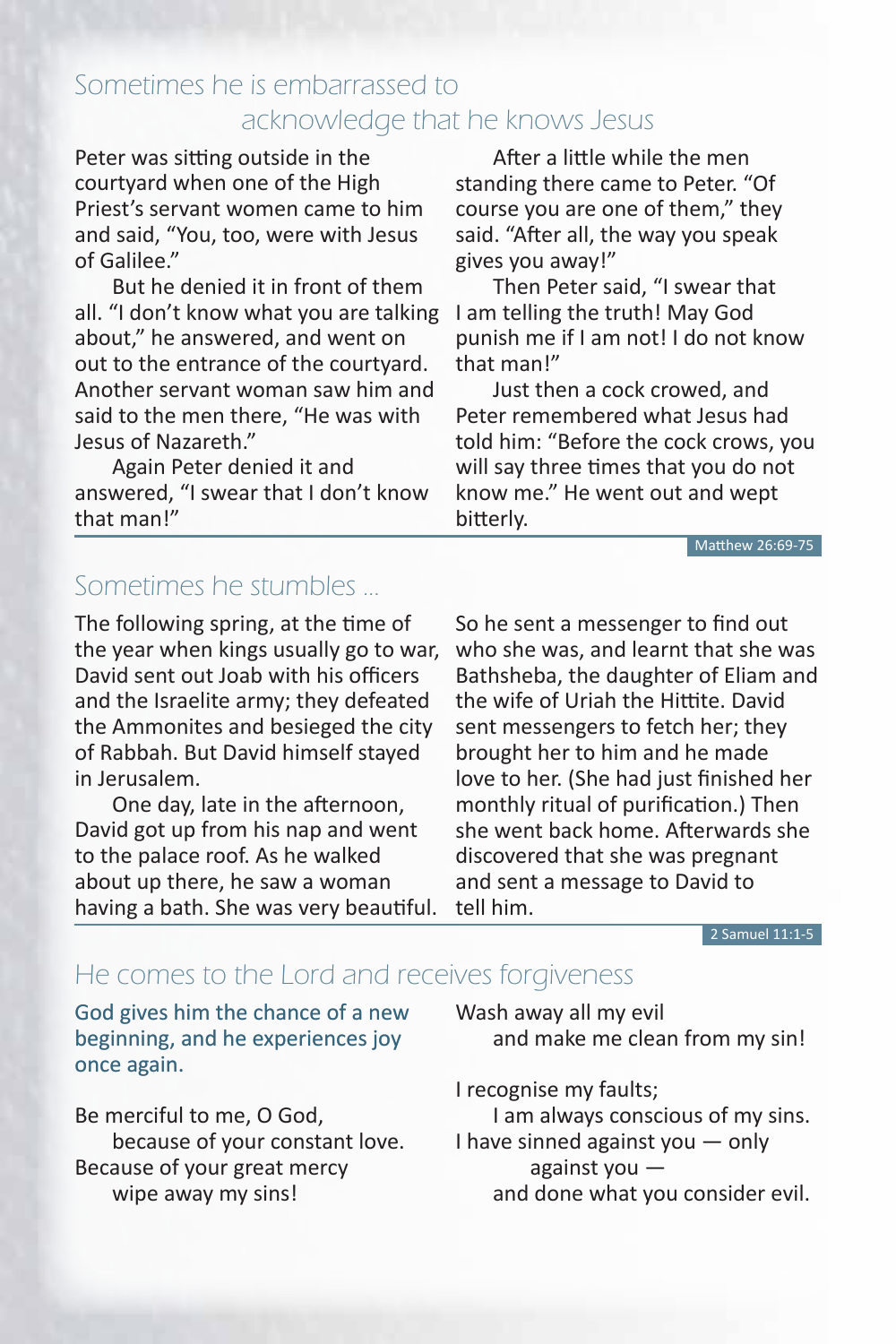## Sometimes he is embarrassed to acknowledge that he knows Jesus

Peter was sitting outside in the courtyard when one of the High Priest's servant women came to him and said, "You, too, were with Jesus of Galilee."

But he denied it in front of them all. "I don't know what you are talking about," he answered, and went on out to the entrance of the courtyard. Another servant woman saw him and said to the men there, "He was with Jesus of Nazareth."

Again Peter denied it and answered, "I swear that I don't know that man!"

After a little while the men standing there came to Peter. "Of course you are one of them," they said. "After all, the way you speak gives you away!"

Then Peter said, "I swear that I am telling the truth! May God punish me if I am not! I do not know that man!"

Just then a cock crowed, and Peter remembered what Jesus had told him: "Before the cock crows, you will say three times that you do not know me." He went out and wept bitterly.

Matthew 26:69-75

## Sometimes he stumbles …

The following spring, at the time of the year when kings usually go to war, David sent out Joab with his officers and the Israelite army; they defeated the Ammonites and besieged the city of Rabbah. But David himself stayed in Jerusalem.

One day, late in the afternoon, David got up from his nap and went to the palace roof. As he walked about up there, he saw a woman having a bath. She was very beautiful. So he sent a messenger to find out who she was, and learnt that she was Bathsheba, the daughter of Eliam and the wife of Uriah the Hittite. David sent messengers to fetch her; they brought her to him and he made love to her. (She had just finished her monthly ritual of purification.) Then she went back home. Afterwards she discovered that she was pregnant and sent a message to David to tell him.

2 Samuel 11:1-5

## He comes to the Lord and receives forgiveness

God gives him the chance of a new beginning, and he experiences joy once again.

Be merciful to me, O God, because of your constant love. Because of your great mercy wipe away my sins!

Wash away all my evil and make me clean from my sin!

I recognise my faults; I am always conscious of my sins. I have sinned against you — only against you and done what you consider evil.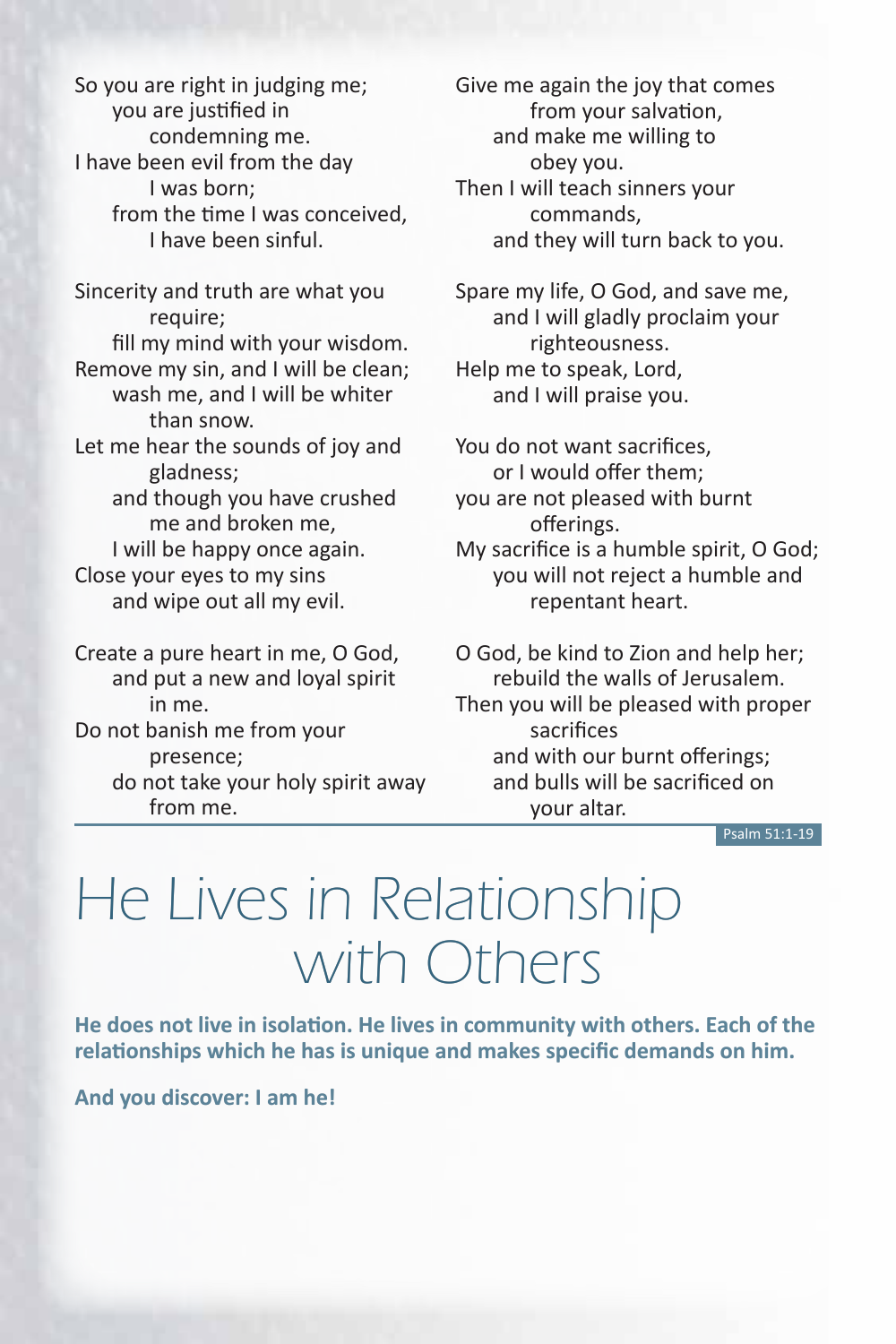So you are right in judging me; you are justified in condemning me. I have been evil from the day I was born; from the time I was conceived, I have been sinful.

Sincerity and truth are what you require; fill my mind with your wisdom. Remove my sin, and I will be clean; wash me, and I will be whiter than snow. Let me hear the sounds of joy and gladness; and though you have crushed me and broken me, I will be happy once again. Close your eyes to my sins and wipe out all my evil.

Create a pure heart in me, O God, and put a new and loyal spirit in me. Do not banish me from your presence; do not take your holy spirit away from me.

Give me again the joy that comes from your salvation, and make me willing to obey you. Then I will teach sinners your commands, and they will turn back to you.

Spare my life, O God, and save me, and I will gladly proclaim your righteousness. Help me to speak, Lord, and I will praise you.

You do not want sacrifices, or I would offer them; you are not pleased with burnt offerings. My sacrifice is a humble spirit, O God; you will not reject a humble and repentant heart.

O God, be kind to Zion and help her; rebuild the walls of Jerusalem. Then you will be pleased with proper sacrifices and with our burnt offerings; and bulls will be sacrificed on your altar.

Psalm 51:1-19

## He Lives in Relationship with Others

**He does not live in isolation. He lives in community with others. Each of the relationships which he has is unique and makes specific demands on him.**

**And you discover: I am he!**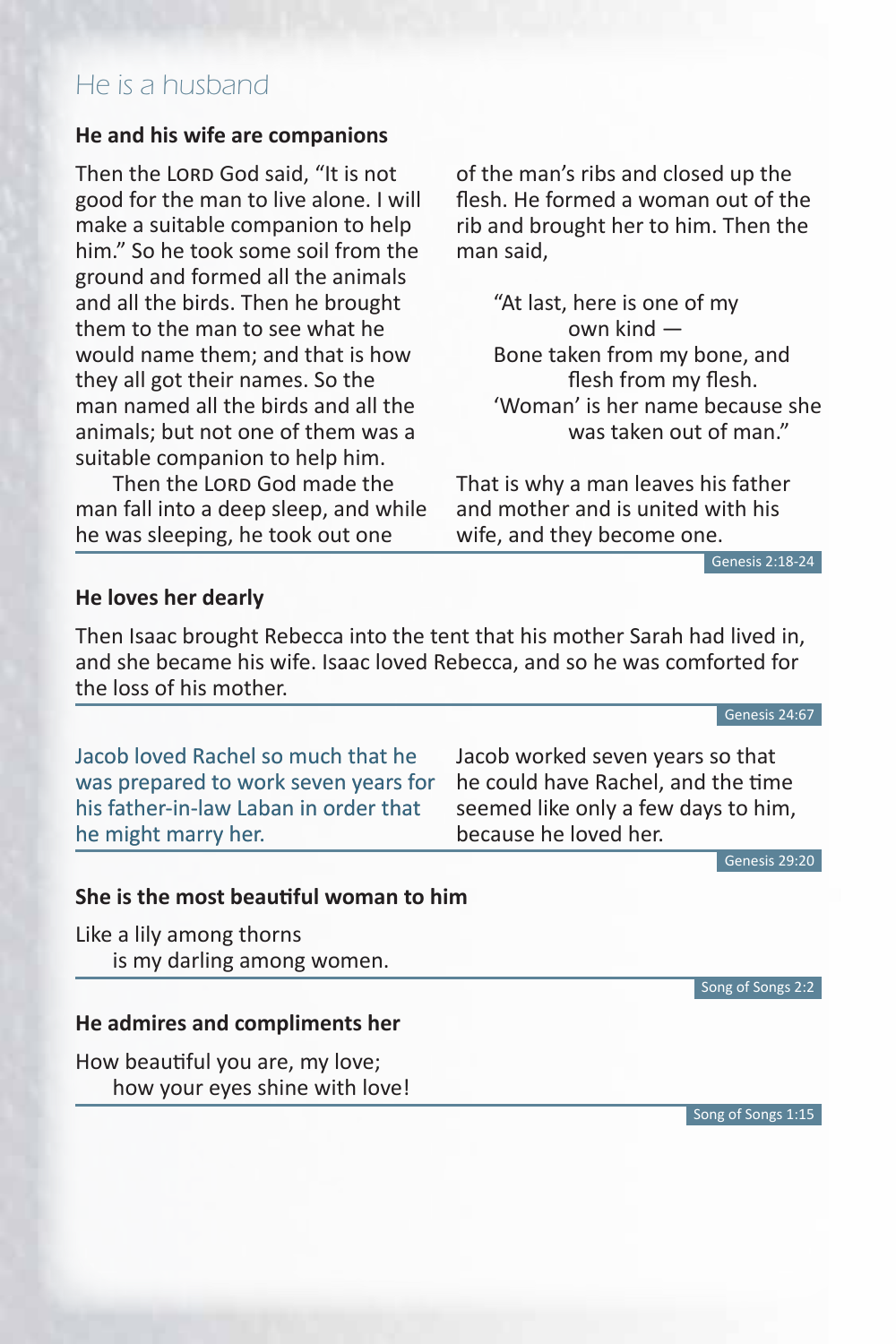## He is a husband

#### **He and his wife are companions**

Then the LORD God said, "It is not good for the man to live alone. I will make a suitable companion to help him." So he took some soil from the ground and formed all the animals and all the birds. Then he brought them to the man to see what he would name them; and that is how they all got their names. So the man named all the birds and all the animals; but not one of them was a suitable companion to help him.

Then the LORD God made the man fall into a deep sleep, and while he was sleeping, he took out one

of the man's ribs and closed up the flesh. He formed a woman out of the rib and brought her to him. Then the man said,

"At last, here is one of my own kind — Bone taken from my bone, and flesh from my flesh. 'Woman' is her name because she was taken out of man."

That is why a man leaves his father and mother and is united with his wife, and they become one.

Genesis 2:18-24

#### **He loves her dearly**

Then Isaac brought Rebecca into the tent that his mother Sarah had lived in, and she became his wife. Isaac loved Rebecca, and so he was comforted for the loss of his mother.

Jacob loved Rachel so much that he was prepared to work seven years for his father-in-law Laban in order that he might marry her.

Jacob worked seven years so that he could have Rachel, and the time seemed like only a few days to him, because he loved her.

Genesis 29:20

Genesis 24:67

#### **She is the most beautiful woman to him**

Like a lily among thorns is my darling among women.

#### **He admires and compliments her**

How beautiful you are, my love; how your eyes shine with love!

Song of Songs 1:15

Song of Songs 2:2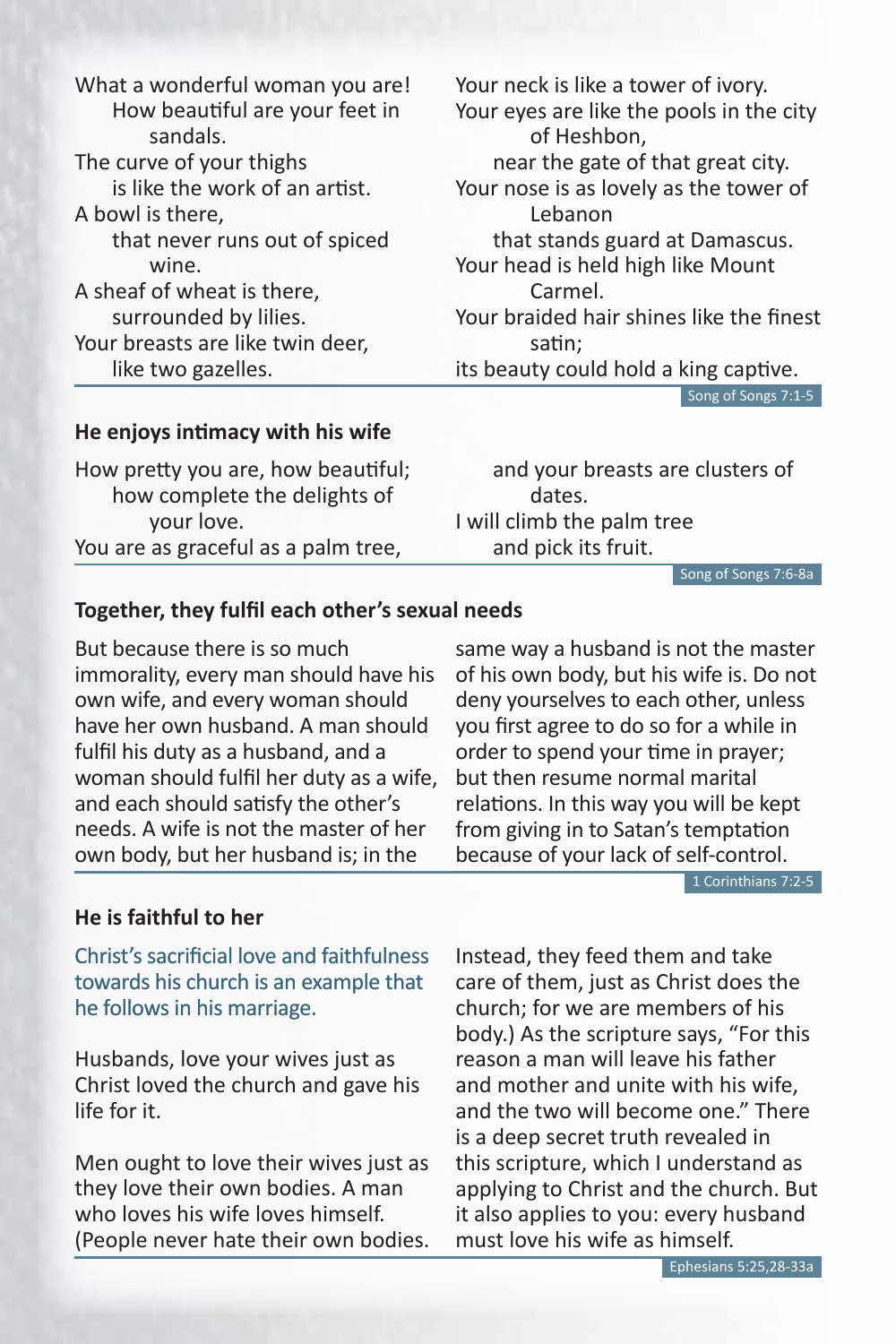| What a wonderful woman you are!  | Your neck is like a tower of ivory.      |
|----------------------------------|------------------------------------------|
| How beautiful are your feet in   | Your eyes are like the pools in the city |
| sandals.                         | of Heshbon,                              |
| The curve of your thighs         | near the gate of that great city.        |
| is like the work of an artist.   | Your nose is as lovely as the tower of   |
| A bowl is there,                 | Lebanon                                  |
| that never runs out of spiced    | that stands guard at Damascus.           |
| wine.                            | Your head is held high like Mount        |
| A sheaf of wheat is there,       | Carmel.                                  |
| surrounded by lilies.            | Your braided hair shines like the finest |
| Your breasts are like twin deer, | satin;                                   |
| like two gazelles.               | its beauty could hold a king captive.    |
|                                  | Song of Songs 7:1-5                      |

#### **He enjoys intimacy with his wife**

How pretty you are, how beautiful; how complete the delights of your love. You are as graceful as a palm tree,

and your breasts are clusters of dates. I will climb the palm tree and pick its fruit.

Song of Songs 7:6-8a

#### **Together, they fulfil each other's sexual needs**

But because there is so much immorality, every man should have his own wife, and every woman should have her own husband. A man should fulfil his duty as a husband, and a woman should fulfil her duty as a wife, and each should satisfy the other's needs. A wife is not the master of her own body, but her husband is; in the

same way a husband is not the master of his own body, but his wife is. Do not deny yourselves to each other, unless you first agree to do so for a while in order to spend your time in prayer; but then resume normal marital relations. In this way you will be kept from giving in to Satan's temptation because of your lack of self-control.

1 Corinthians 7:2-5

#### **He is faithful to her**

Christ's sacrificial love and faithfulness towards his church is an example that he follows in his marriage.

Husbands, love your wives just as Christ loved the church and gave his life for it.

Men ought to love their wives just as they love their own bodies. A man who loves his wife loves himself. (People never hate their own bodies. Instead, they feed them and take care of them, just as Christ does the church; for we are members of his body.) As the scripture says, "For this reason a man will leave his father and mother and unite with his wife, and the two will become one." There is a deep secret truth revealed in this scripture, which I understand as applying to Christ and the church. But it also applies to you: every husband must love his wife as himself.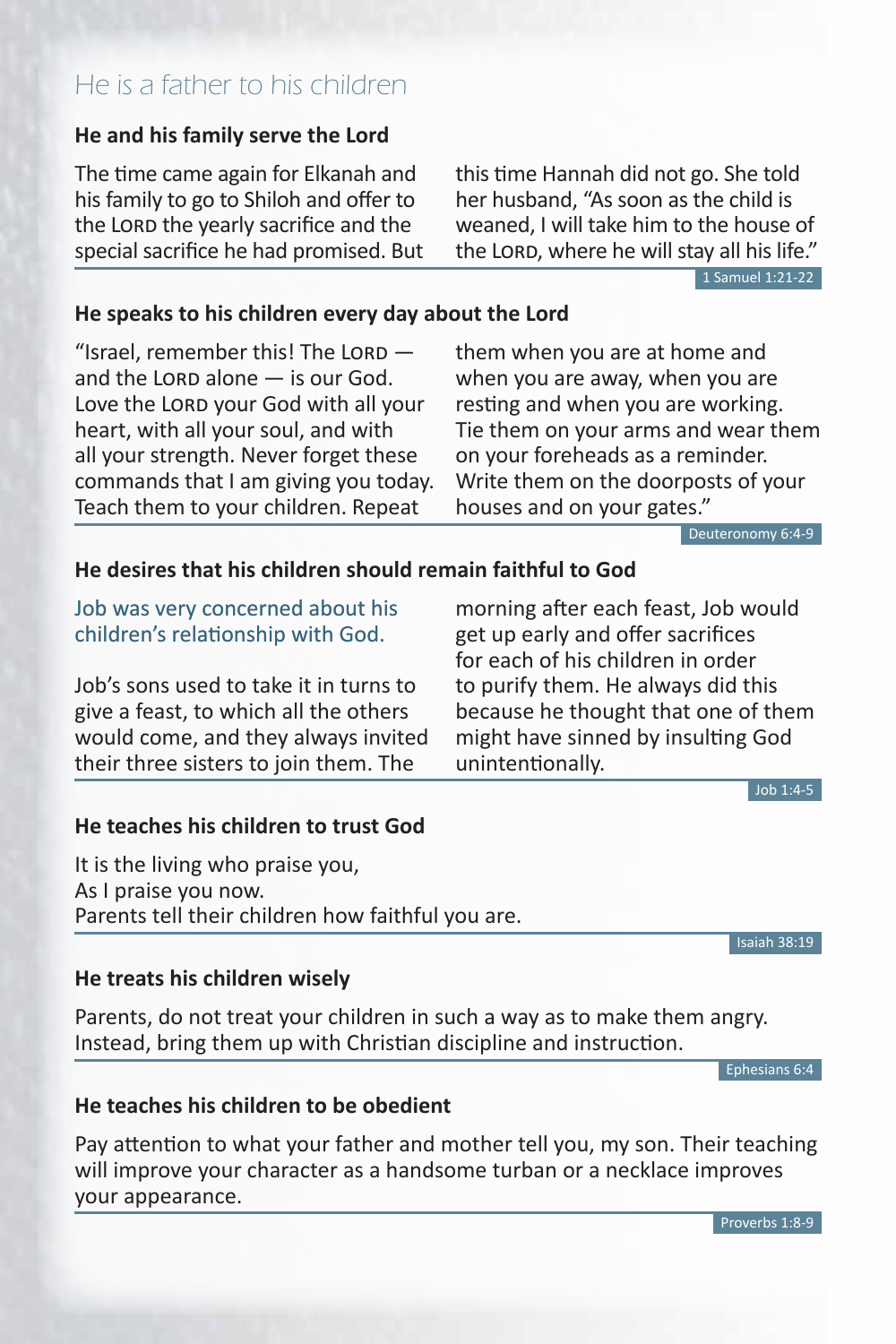## He is a father to his children

#### **He and his family serve the Lord**

The time came again for Elkanah and his family to go to Shiloh and offer to the LORD the yearly sacrifice and the special sacrifice he had promised. But this time Hannah did not go. She told her husband, "As soon as the child is weaned, I will take him to the house of the LORD, where he will stay all his life."

1 Samuel 1:21-22

#### **He speaks to his children every day about the Lord**

"Israel, remember this! The LORD  $$ and the LORD alone  $-$  is our God. Love the LORD your God with all your heart, with all your soul, and with all your strength. Never forget these commands that I am giving you today. Teach them to your children. Repeat

them when you are at home and when you are away, when you are resting and when you are working. Tie them on your arms and wear them on your foreheads as a reminder. Write them on the doorposts of your houses and on your gates."

Deuteronomy 6:4-9

#### **He desires that his children should remain faithful to God**

Job was very concerned about his children's relationship with God. Job's sons used to take it in turns to give a feast, to which all the others would come, and they always invited their three sisters to join them. The morning after each feast, Job would get up early and offer sacrifices for each of his children in order to purify them. He always did this because he thought that one of them might have sinned by insulting God unintentionally. Job 1:4-5

#### **He teaches his children to trust God**

It is the living who praise you, As I praise you now. Parents tell their children how faithful you are.

**He treats his children wisely**

Parents, do not treat your children in such a way as to make them angry. Instead, bring them up with Christian discipline and instruction.

Ephesians 6:4

#### **He teaches his children to be obedient**

Pay attention to what your father and mother tell you, my son. Their teaching will improve your character as a handsome turban or a necklace improves your appearance.

Proverbs 1:8-9

Isaiah 38:19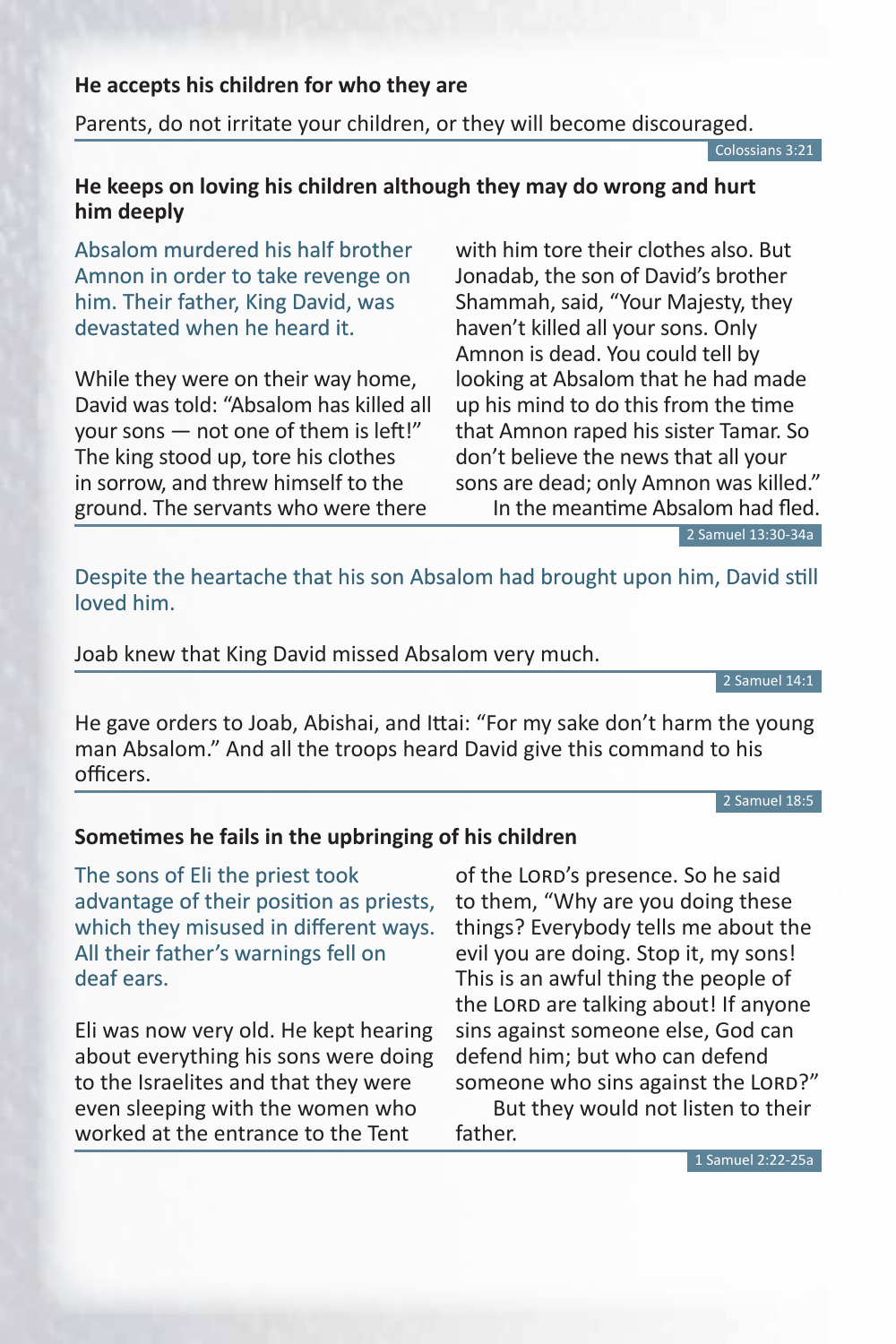#### **He accepts his children for who they are**

Parents, do not irritate your children, or they will become discouraged.

Colossians 3:21

#### **He keeps on loving his children although they may do wrong and hurt him deeply**

Absalom murdered his half brother Amnon in order to take revenge on him. Their father, King David, was devastated when he heard it.

While they were on their way home, David was told: "Absalom has killed all your sons — not one of them is left!" The king stood up, tore his clothes in sorrow, and threw himself to the ground. The servants who were there

with him tore their clothes also. But Jonadab, the son of David's brother Shammah, said, "Your Majesty, they haven't killed all your sons. Only Amnon is dead. You could tell by looking at Absalom that he had made up his mind to do this from the time that Amnon raped his sister Tamar. So don't believe the news that all your sons are dead; only Amnon was killed." In the meantime Absalom had fled.

2 Samuel 13:30-34a

Despite the heartache that his son Absalom had brought upon him, David still loved him.

Joab knew that King David missed Absalom very much.

2 Samuel 14:1

He gave orders to Joab, Abishai, and Ittai: "For my sake don't harm the young man Absalom." And all the troops heard David give this command to his officers.

2 Samuel 18:5

#### **Sometimes he fails in the upbringing of his children**

The sons of Eli the priest took advantage of their position as priests, which they misused in different ways. All their father's warnings fell on deaf ears.

Eli was now very old. He kept hearing about everything his sons were doing to the Israelites and that they were even sleeping with the women who worked at the entrance to the Tent

of the LORD's presence. So he said to them, "Why are you doing these things? Everybody tells me about the evil you are doing. Stop it, my sons! This is an awful thing the people of the LORD are talking about! If anyone sins against someone else, God can defend him; but who can defend someone who sins against the LORD?" But they would not listen to their father.

1 Samuel 2:22-25a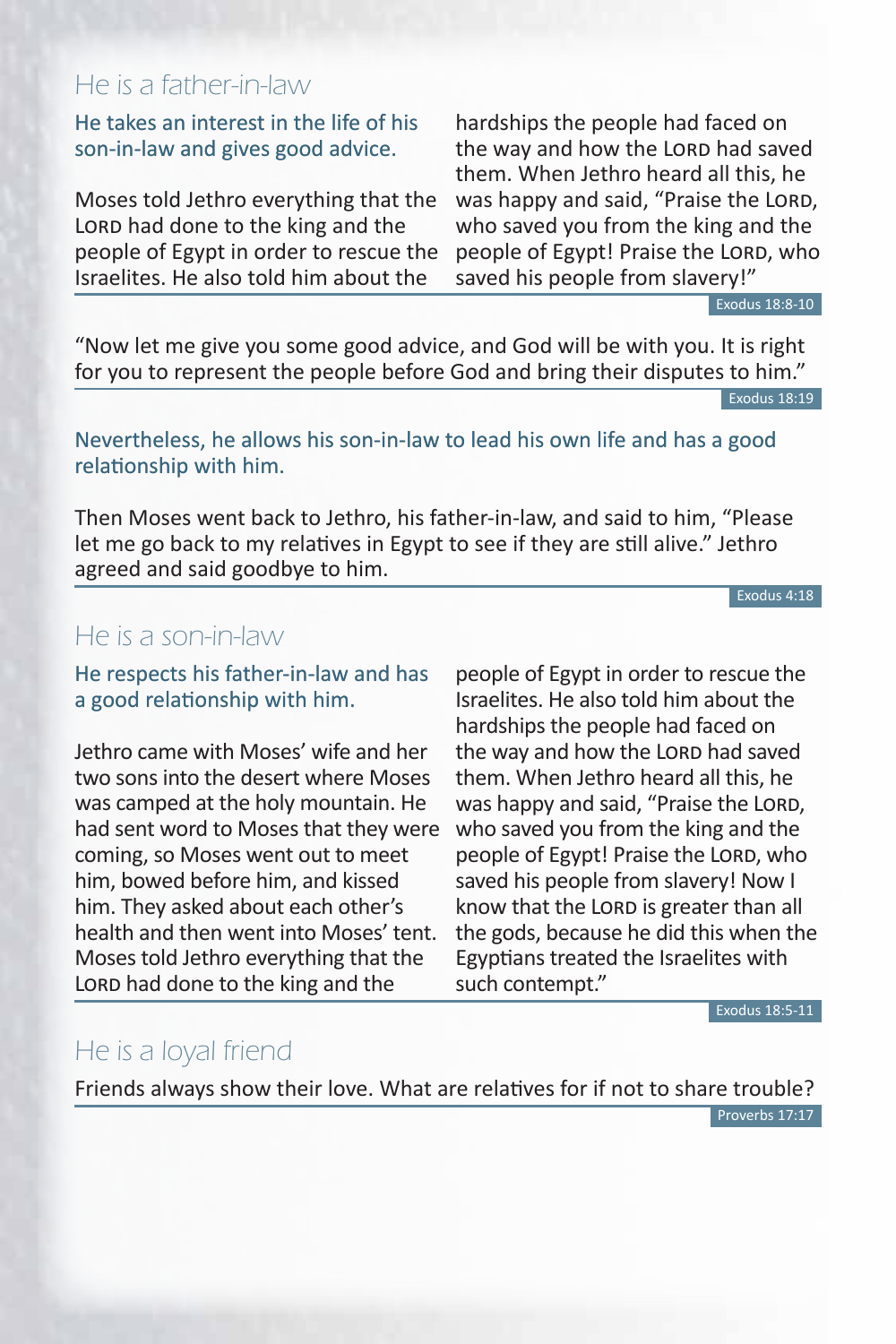#### He is a father-in-law

He takes an interest in the life of his son-in-law and gives good advice.

Moses told Jethro everything that the LORD had done to the king and the people of Egypt in order to rescue the Israelites. He also told him about the

hardships the people had faced on the way and how the LORD had saved them. When Jethro heard all this, he was happy and said, "Praise the LORD, who saved you from the king and the people of Egypt! Praise the LORD, who saved his people from slavery!"

Exodus 18:8-10

"Now let me give you some good advice, and God will be with you. It is right for you to represent the people before God and bring their disputes to him."

Exodus 18:19

#### Nevertheless, he allows his son-in-law to lead his own life and has a good relationship with him.

Then Moses went back to Jethro, his father-in-law, and said to him, "Please let me go back to my relatives in Egypt to see if they are still alive." Jethro agreed and said goodbye to him.

Exodus 4:18

#### He is a son-in-law

#### He respects his father-in-law and has a good relationship with him.

Jethro came with Moses' wife and her two sons into the desert where Moses was camped at the holy mountain. He had sent word to Moses that they were coming, so Moses went out to meet him, bowed before him, and kissed him. They asked about each other's health and then went into Moses' tent. Moses told Jethro everything that the LORD had done to the king and the

people of Egypt in order to rescue the Israelites. He also told him about the hardships the people had faced on the way and how the LORD had saved them. When Jethro heard all this, he was happy and said, "Praise the LORD, who saved you from the king and the people of Egypt! Praise the LORD, who saved his people from slavery! Now I know that the LORD is greater than all the gods, because he did this when the Egyptians treated the Israelites with such contempt."

Exodus 18:5-11

#### He is a loyal friend

Friends always show their love. What are relatives for if not to share trouble?

Proverbs 17:17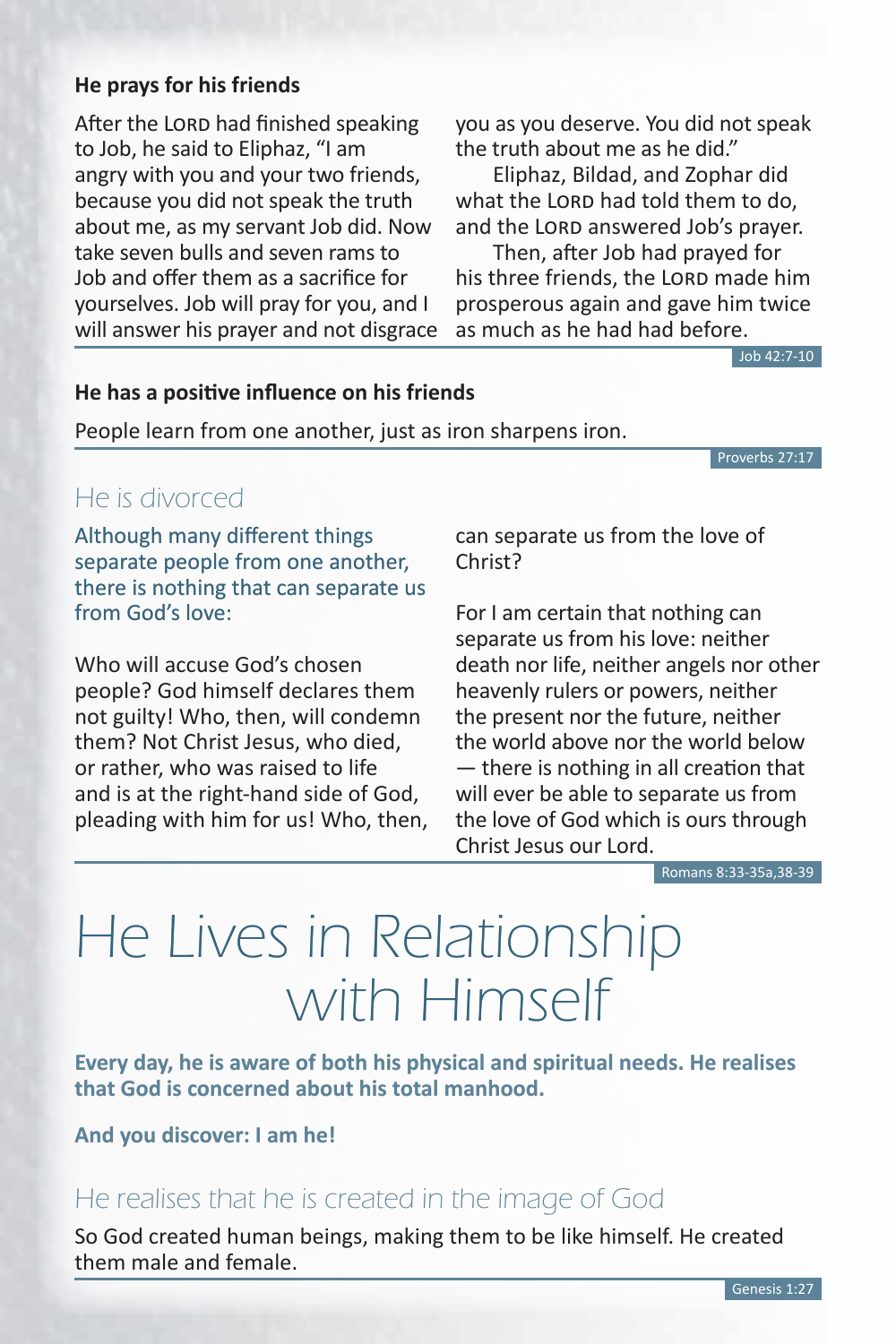#### **He prays for his friends**

After the LORD had finished speaking to Job, he said to Eliphaz, "I am angry with you and your two friends, because you did not speak the truth about me, as my servant Job did. Now take seven bulls and seven rams to Job and offer them as a sacrifice for yourselves. Job will pray for you, and I will answer his prayer and not disgrace you as you deserve. You did not speak the truth about me as he did"

Eliphaz, Bildad, and Zophar did what the LORD had told them to do. and the LORD answered Job's prayer.

Then, after Job had prayed for his three friends, the LORD made him prosperous again and gave him twice as much as he had had before.

Job 42:7-10

#### **He has a positive influence on his friends**

People learn from one another, just as iron sharpens iron.

Proverbs 27:17

### He is divorced

Although many different things separate people from one another, there is nothing that can separate us from God's love:

Who will accuse God's chosen people? God himself declares them not guilty! Who, then, will condemn them? Not Christ Jesus, who died, or rather, who was raised to life and is at the right-hand side of God, pleading with him for us! Who, then, can separate us from the love of Christ?

For I am certain that nothing can separate us from his love: neither death nor life, neither angels nor other heavenly rulers or powers, neither the present nor the future, neither the world above nor the world below — there is nothing in all creation that will ever be able to separate us from the love of God which is ours through Christ Jesus our Lord.

Romans 8:33-35a,38-39

## He Lives in Relationship with Himself

**Every day, he is aware of both his physical and spiritual needs. He realises that God is concerned about his total manhood.**

**And you discover: I am he!**

#### He realises that he is created in the image of God

So God created human beings, making them to be like himself. He created them male and female.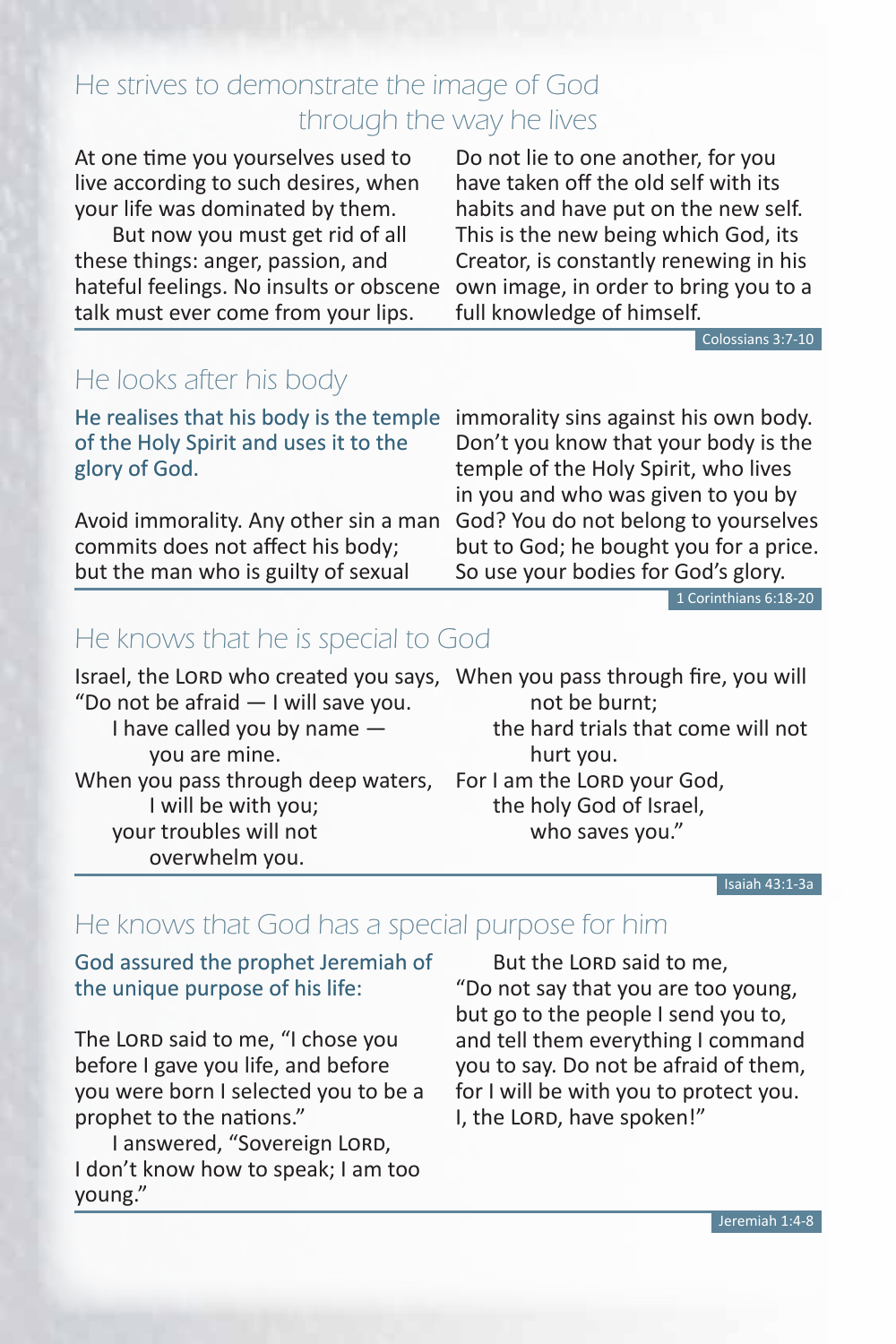## He strives to demonstrate the image of God through the way he lives

At one time you yourselves used to live according to such desires, when your life was dominated by them.

But now you must get rid of all these things: anger, passion, and hateful feelings. No insults or obscene talk must ever come from your lips.

Do not lie to one another, for you have taken off the old self with its habits and have put on the new self. This is the new being which God, its Creator, is constantly renewing in his own image, in order to bring you to a full knowledge of himself.

Colossians 3:7-10

## He looks after his body

He realises that his body is the temple of the Holy Spirit and uses it to the glory of God.

Avoid immorality. Any other sin a man commits does not affect his body; but the man who is guilty of sexual

immorality sins against his own body. Don't you know that your body is the temple of the Holy Spirit, who lives in you and who was given to you by God? You do not belong to yourselves but to God; he bought you for a price. So use your bodies for God's glory.

1 Corinthians 6:18-20

## He knows that he is special to God

Israel, the LORD who created you says, When you pass through fire, you will "Do not be afraid — I will save you. I have called you by name you are mine. When you pass through deep waters, I will be with you; your troubles will not overwhelm you. not be burnt; the hard trials that come will not hurt you. For I am the LORD your God, the holy God of Israel, who saves you."

Isaiah 43:1-3a

## He knows that God has a special purpose for him

God assured the prophet Jeremiah of the unique purpose of his life:

The LORD said to me, "I chose you before I gave you life, and before you were born I selected you to be a prophet to the nations."

I answered, "Sovereign LORD, I don't know how to speak; I am too young."

But the LORD said to me, "Do not say that you are too young, but go to the people I send you to, and tell them everything I command you to say. Do not be afraid of them, for I will be with you to protect you. I, the LORD, have spoken!"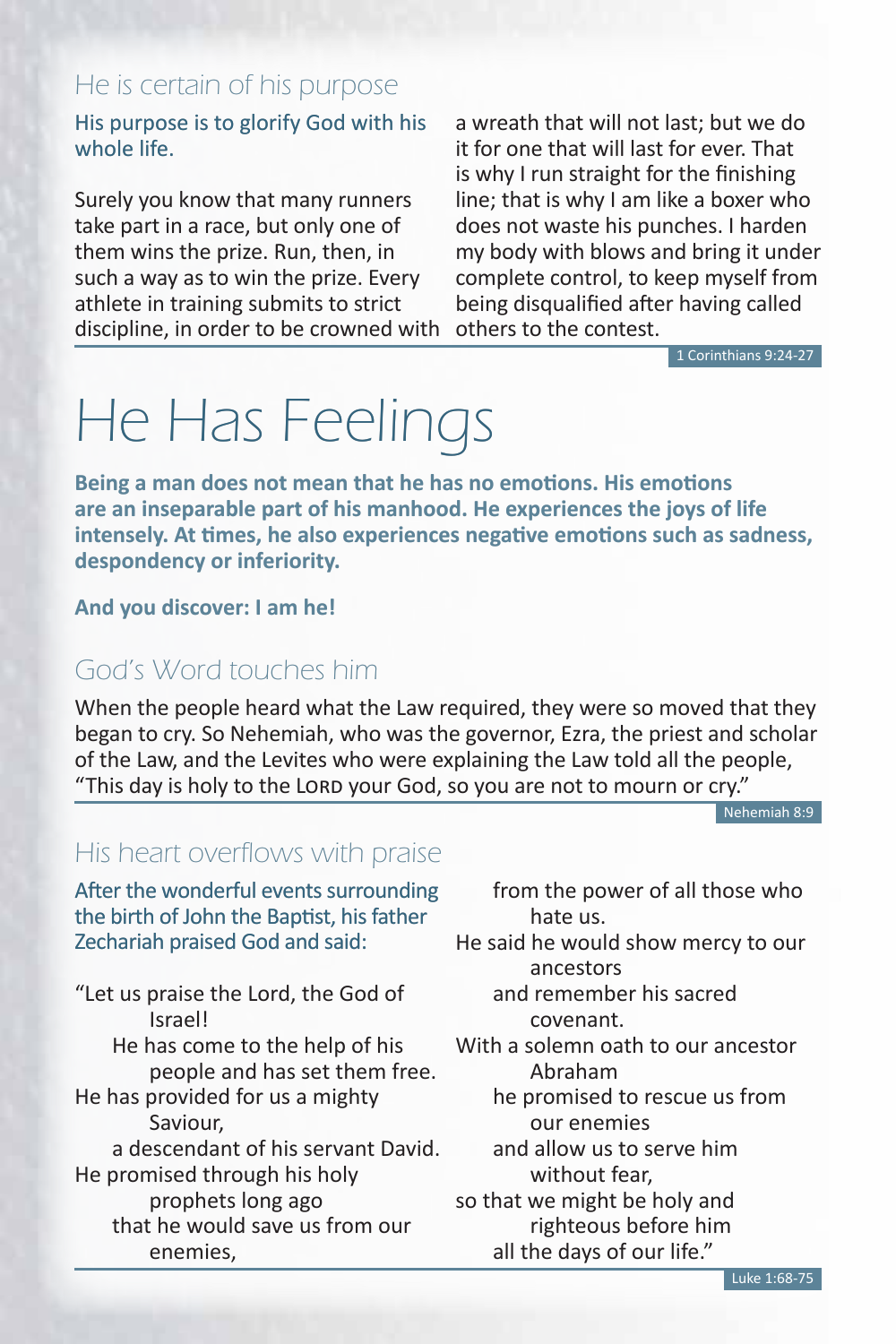#### He is certain of his purpose

#### His purpose is to glorify God with his whole life.

Surely you know that many runners take part in a race, but only one of them wins the prize. Run, then, in such a way as to win the prize. Every athlete in training submits to strict discipline, in order to be crowned with

a wreath that will not last; but we do it for one that will last for ever. That is why I run straight for the finishing line; that is why I am like a boxer who does not waste his punches. I harden my body with blows and bring it under complete control, to keep myself from being disqualified after having called others to the contest.

1 Corinthians 9:24-27

# He Has Feelings

**Being a man does not mean that he has no emotions. His emotions are an inseparable part of his manhood. He experiences the joys of life intensely. At times, he also experiences negative emotions such as sadness, despondency or inferiority.**

**And you discover: I am he!**

## God's Word touches him

When the people heard what the Law required, they were so moved that they began to cry. So Nehemiah, who was the governor, Ezra, the priest and scholar of the Law, and the Levites who were explaining the Law told all the people, "This day is holy to the LORD your God, so you are not to mourn or cry."

Nehemiah 8:9

#### His heart overflows with praise

After the wonderful events surrounding the birth of John the Baptist, his father Zechariah praised God and said:

"Let us praise the Lord, the God of Israel!

He has come to the help of his people and has set them free. He has provided for us a mighty

- Saviour, a descendant of his servant David.
- He promised through his holy prophets long ago that he would save us from our enemies,

from the power of all those who hate us. He said he would show mercy to our ancestors and remember his sacred covenant. With a solemn oath to our ancestor Abraham he promised to rescue us from our enemies and allow us to serve him without fear, so that we might be holy and righteous before him all the days of our life."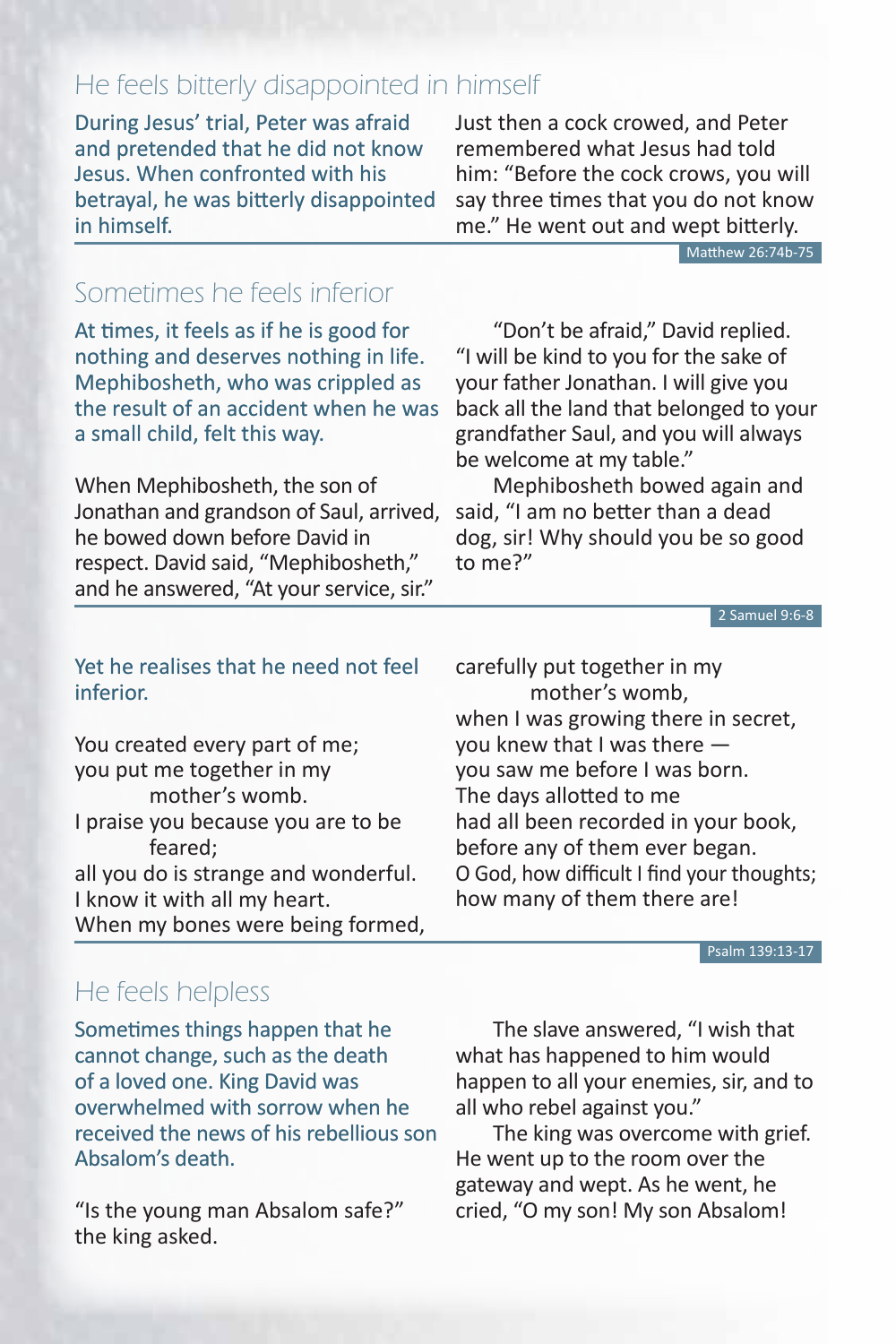### He feels bitterly disappointed in himself

During Jesus' trial, Peter was afraid and pretended that he did not know Jesus. When confronted with his betrayal, he was bitterly disappointed in himself.

Just then a cock crowed, and Peter remembered what Jesus had told him: "Before the cock crows, you will say three times that you do not know me." He went out and wept bitterly.

Matthew 26:74b-75

### Sometimes he feels inferior

At times, it feels as if he is good for nothing and deserves nothing in life. Mephibosheth, who was crippled as the result of an accident when he was a small child, felt this way.

When Mephibosheth, the son of Jonathan and grandson of Saul, arrived, he bowed down before David in respect. David said, "Mephibosheth," and he answered, "At your service, sir."

"Don't be afraid," David replied. "I will be kind to you for the sake of your father Jonathan. I will give you back all the land that belonged to your grandfather Saul, and you will always be welcome at my table."

Mephibosheth bowed again and said, "I am no better than a dead dog, sir! Why should you be so good to me?"

#### 2 Samuel 9:6-8

#### Yet he realises that he need not feel inferior.

You created every part of me; you put me together in my mother's womb. I praise you because you are to be feared; all you do is strange and wonderful. I know it with all my heart. When my bones were being formed, carefully put together in my mother's womb, when I was growing there in secret. you knew that I was there you saw me before I was born. The days allotted to me had all been recorded in your book, before any of them ever began. O God, how difficult I find your thoughts; how many of them there are!

Psalm 139:13-17

#### He feels helpless

Sometimes things happen that he cannot change, such as the death of a loved one. King David was overwhelmed with sorrow when he received the news of his rebellious son Absalom's death.

"Is the young man Absalom safe?" the king asked.

The slave answered, "I wish that what has happened to him would happen to all your enemies, sir, and to all who rebel against you."

The king was overcome with grief. He went up to the room over the gateway and wept. As he went, he cried, "O my son! My son Absalom!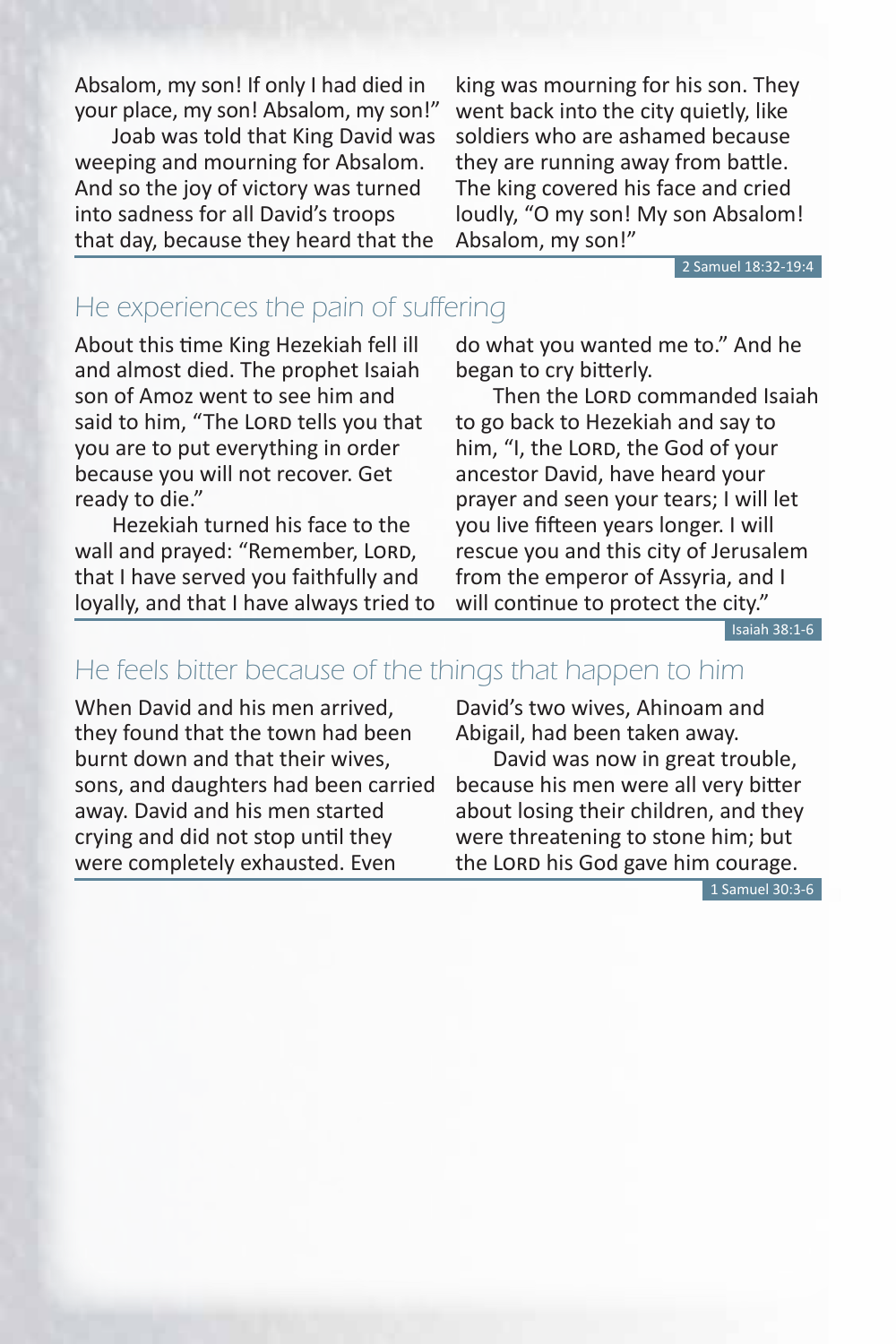Absalom, my son! If only I had died in your place, my son! Absalom, my son!"

Joab was told that King David was weeping and mourning for Absalom. And so the joy of victory was turned into sadness for all David's troops that day, because they heard that the king was mourning for his son. They went back into the city quietly, like soldiers who are ashamed because they are running away from battle. The king covered his face and cried loudly, "O my son! My son Absalom! Absalom, my son!"

2 Samuel 18:32-19:4

## He experiences the pain of suffering

About this time King Hezekiah fell ill and almost died. The prophet Isaiah son of Amoz went to see him and said to him, "The LORD tells you that you are to put everything in order because you will not recover. Get ready to die."

Hezekiah turned his face to the wall and prayed: "Remember, LORD, that I have served you faithfully and loyally, and that I have always tried to do what you wanted me to." And he began to cry bitterly.

Then the LORD commanded Isaiah to go back to Hezekiah and say to him, "I, the LORD, the God of your ancestor David, have heard your prayer and seen your tears; I will let you live fifteen years longer. I will rescue you and this city of Jerusalem from the emperor of Assyria, and I will continue to protect the city."

Isaiah 38:1-6

## He feels bitter because of the things that happen to him

When David and his men arrived, they found that the town had been burnt down and that their wives, sons, and daughters had been carried away. David and his men started crying and did not stop until they were completely exhausted. Even

David's two wives, Ahinoam and Abigail, had been taken away.

David was now in great trouble, because his men were all very bitter about losing their children, and they were threatening to stone him; but the LORD his God gave him courage.

1 Samuel 30:3-6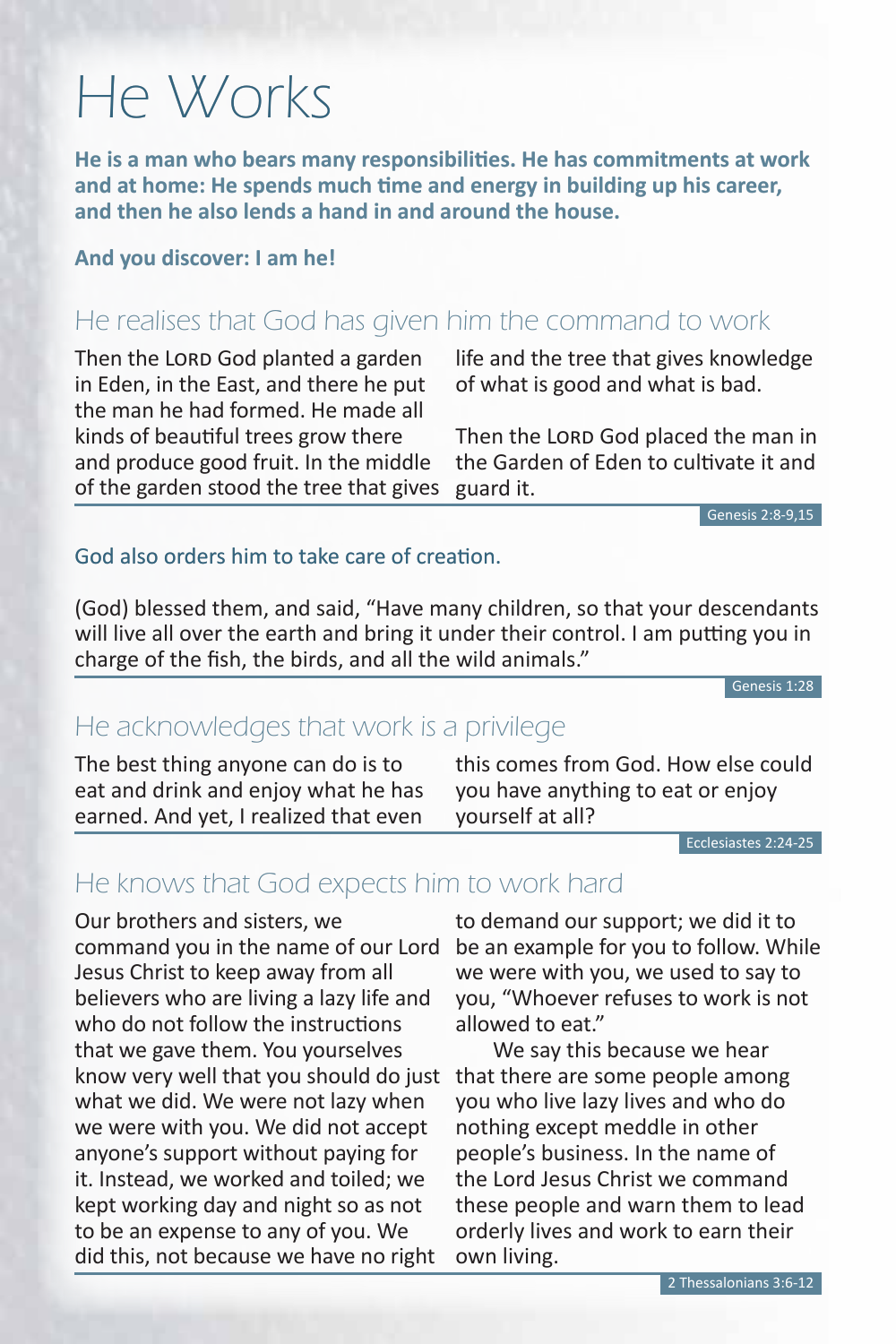## He Works

**He is a man who bears many responsibilities. He has commitments at work and at home: He spends much time and energy in building up his career, and then he also lends a hand in and around the house.**

#### **And you discover: I am he!**

### He realises that God has given him the command to work

Then the LORD God planted a garden in Eden, in the East, and there he put the man he had formed. He made all kinds of beautiful trees grow there and produce good fruit. In the middle of the garden stood the tree that gives guard it.

life and the tree that gives knowledge of what is good and what is bad.

Then the LORD God placed the man in the Garden of Eden to cultivate it and

Genesis 2:8-9,15

#### God also orders him to take care of creation.

(God) blessed them, and said, "Have many children, so that your descendants will live all over the earth and bring it under their control. I am putting you in charge of the fish, the birds, and all the wild animals."

Genesis 1:28

## He acknowledges that work is a privilege

The best thing anyone can do is to eat and drink and enjoy what he has earned. And yet, I realized that even

this comes from God. How else could you have anything to eat or enjoy yourself at all?

Ecclesiastes 2:24-25

#### He knows that God expects him to work hard

#### Our brothers and sisters, we

command you in the name of our Lord Jesus Christ to keep away from all believers who are living a lazy life and who do not follow the instructions that we gave them. You yourselves know very well that you should do just what we did. We were not lazy when we were with you. We did not accept anyone's support without paying for it. Instead, we worked and toiled; we kept working day and night so as not to be an expense to any of you. We did this, not because we have no right

to demand our support; we did it to be an example for you to follow. While we were with you, we used to say to you, "Whoever refuses to work is not allowed to eat."

We say this because we hear that there are some people among you who live lazy lives and who do nothing except meddle in other people's business. In the name of the Lord Jesus Christ we command these people and warn them to lead orderly lives and work to earn their own living.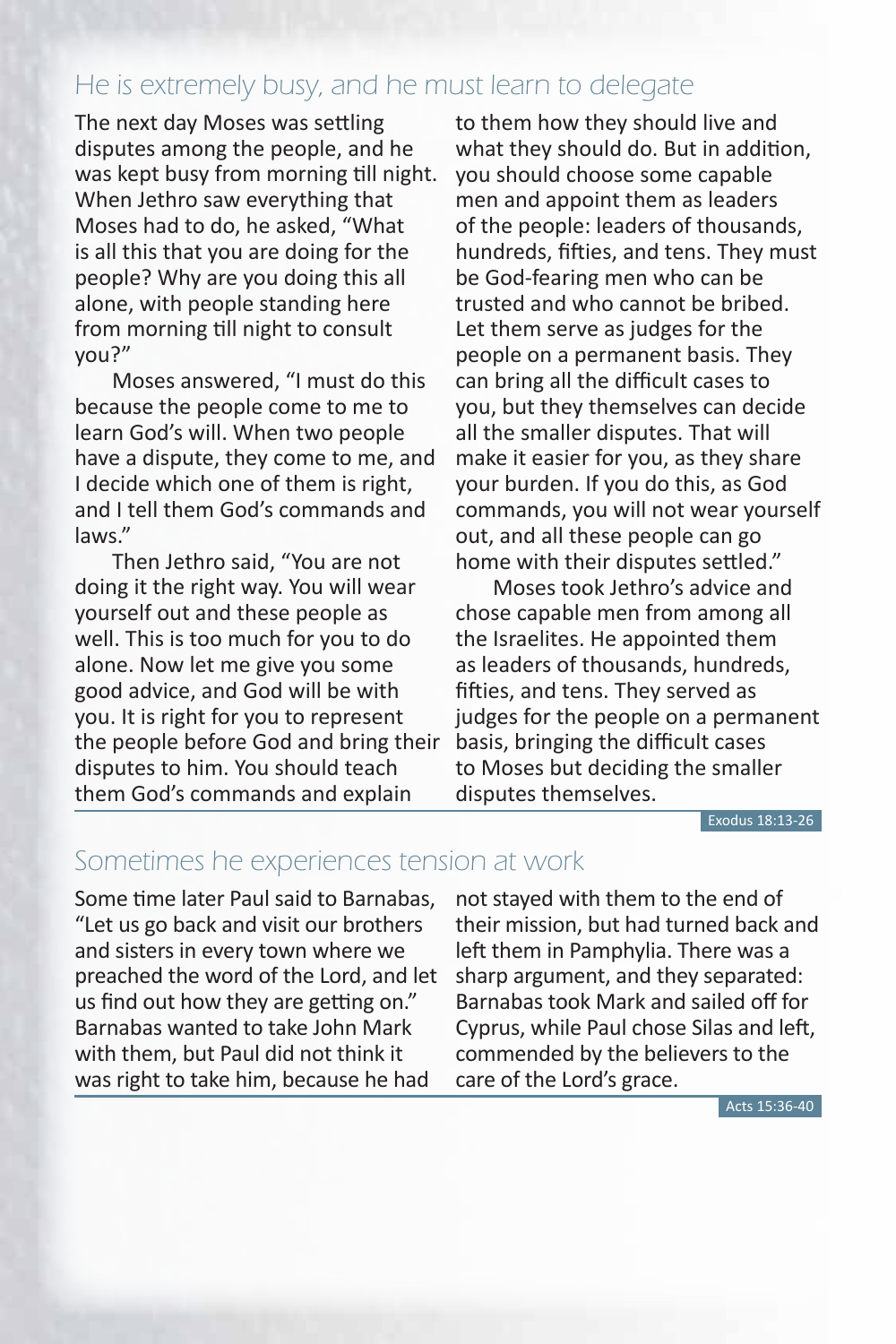### He is extremely busy, and he must learn to delegate

The next day Moses was settling disputes among the people, and he was kept busy from morning till night. When Jethro saw everything that Moses had to do, he asked, "What is all this that you are doing for the people? Why are you doing this all alone, with people standing here from morning till night to consult you?"

Moses answered, "I must do this because the people come to me to learn God's will. When two people have a dispute, they come to me, and I decide which one of them is right, and I tell them God's commands and laws."

Then Jethro said, "You are not doing it the right way. You will wear yourself out and these people as well. This is too much for you to do alone. Now let me give you some good advice, and God will be with you. It is right for you to represent the people before God and bring their disputes to him. You should teach them God's commands and explain

to them how they should live and what they should do. But in addition, you should choose some capable men and appoint them as leaders of the people: leaders of thousands, hundreds, fifties, and tens. They must be God-fearing men who can be trusted and who cannot be bribed. Let them serve as judges for the people on a permanent basis. They can bring all the difficult cases to you, but they themselves can decide all the smaller disputes. That will make it easier for you, as they share your burden. If you do this, as God commands, you will not wear yourself out, and all these people can go home with their disputes settled."

Moses took Jethro's advice and chose capable men from among all the Israelites. He appointed them as leaders of thousands, hundreds, fifties, and tens. They served as judges for the people on a permanent basis, bringing the difficult cases to Moses but deciding the smaller disputes themselves.

Exodus 18:13-26

### Sometimes he experiences tension at work

Some time later Paul said to Barnabas, "Let us go back and visit our brothers and sisters in every town where we preached the word of the Lord, and let us find out how they are getting on." Barnabas wanted to take John Mark with them, but Paul did not think it was right to take him, because he had

not stayed with them to the end of their mission, but had turned back and left them in Pamphylia. There was a sharp argument, and they separated: Barnabas took Mark and sailed off for Cyprus, while Paul chose Silas and left, commended by the believers to the care of the Lord's grace.

Acts 15:36-40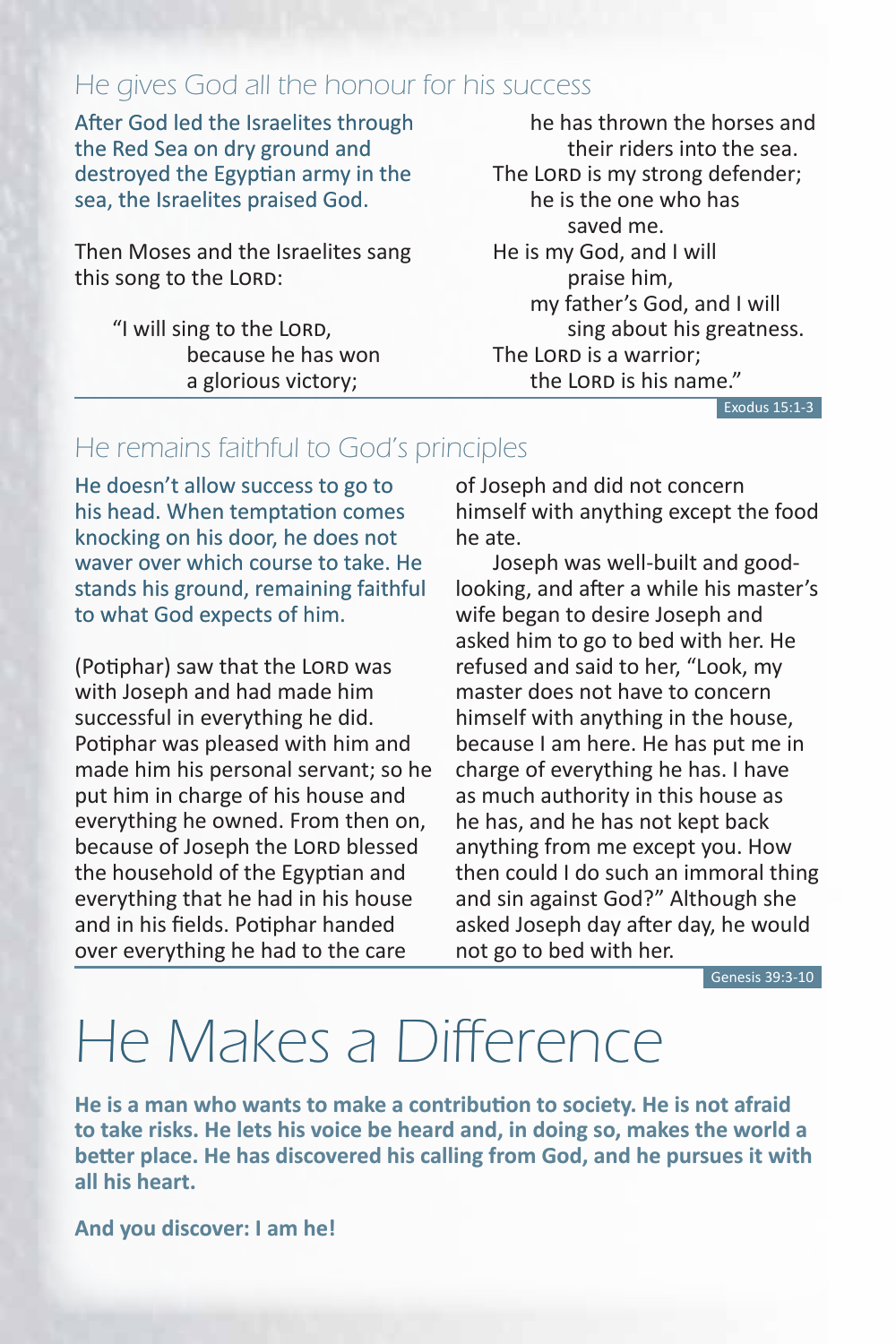#### He gives God all the honour for his success

After God led the Israelites through the Red Sea on dry ground and destroyed the Egyptian army in the sea, the Israelites praised God.

Then Moses and the Israelites sang this song to the LORD:

> "I will sing to the LORD. because he has won a glorious victory;

he has thrown the horses and their riders into the sea. The LORD is my strong defender: he is the one who has saved me. He is my God, and I will praise him, my father's God, and I will sing about his greatness. The LORD is a warrior: the LORD is his name."

Exodus 15:1-3

## He remains faithful to God's principles

He doesn't allow success to go to his head. When temptation comes knocking on his door, he does not waver over which course to take. He stands his ground, remaining faithful to what God expects of him.

(Potiphar) saw that the LORD was with Joseph and had made him successful in everything he did. Potiphar was pleased with him and made him his personal servant; so he put him in charge of his house and everything he owned. From then on, because of Joseph the LORD blessed the household of the Egyptian and everything that he had in his house and in his fields. Potiphar handed over everything he had to the care

of Joseph and did not concern himself with anything except the food he ate.

Joseph was well-built and goodlooking, and after a while his master's wife began to desire Joseph and asked him to go to bed with her. He refused and said to her, "Look, my master does not have to concern himself with anything in the house, because I am here. He has put me in charge of everything he has. I have as much authority in this house as he has, and he has not kept back anything from me except you. How then could I do such an immoral thing and sin against God?" Although she asked Joseph day after day, he would not go to bed with her.

Genesis 39:3-10

## He Makes a Difference

**He is a man who wants to make a contribution to society. He is not afraid to take risks. He lets his voice be heard and, in doing so, makes the world a better place. He has discovered his calling from God, and he pursues it with all his heart.**

**And you discover: I am he!**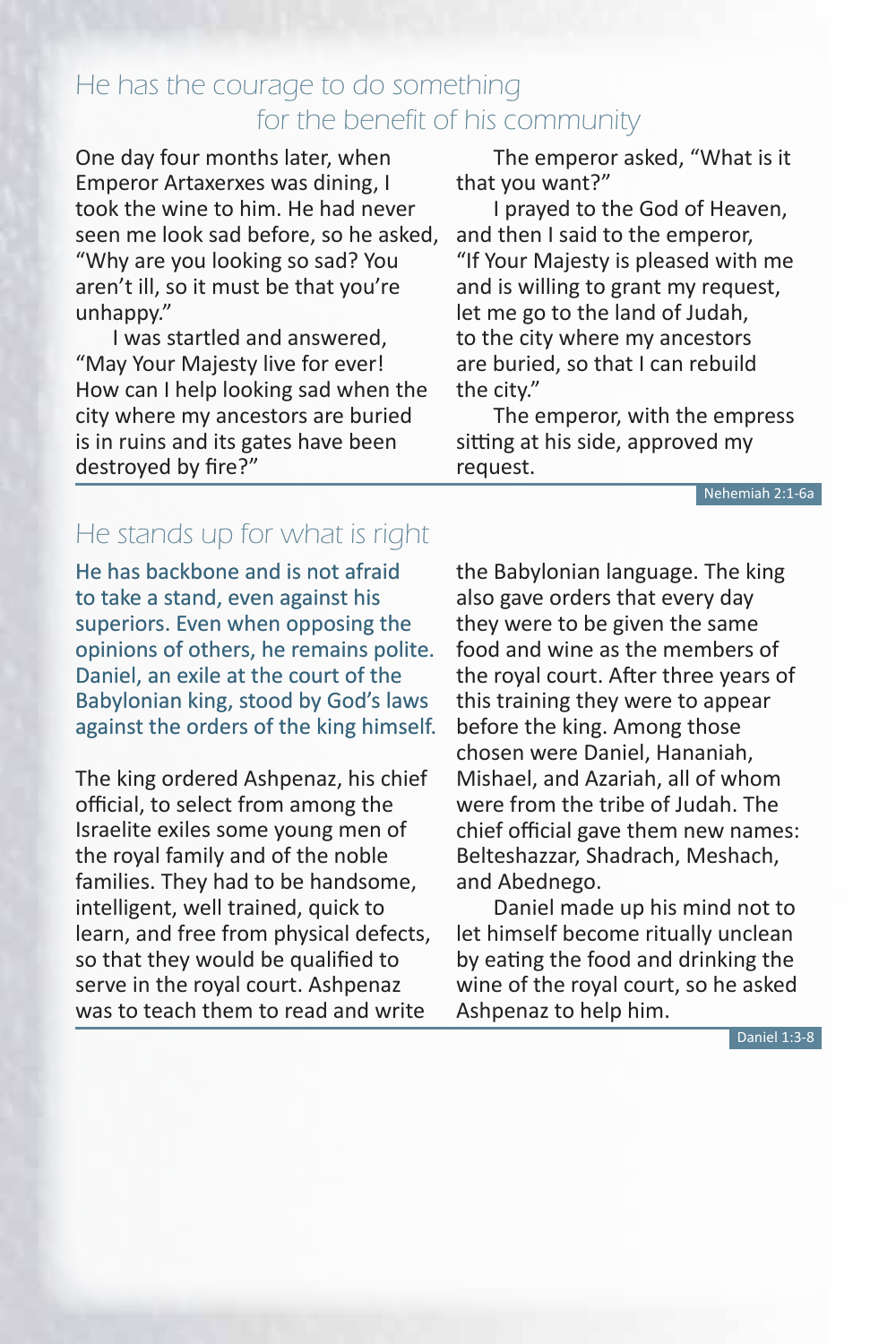## He has the courage to do something for the benefit of his community

One day four months later, when Emperor Artaxerxes was dining, I took the wine to him. He had never seen me look sad before, so he asked, "Why are you looking so sad? You aren't ill, so it must be that you're unhappy."

I was startled and answered, "May Your Majesty live for ever! How can I help looking sad when the city where my ancestors are buried is in ruins and its gates have been destroyed by fire?"

The emperor asked, "What is it that you want?"

I prayed to the God of Heaven, and then I said to the emperor, "If Your Majesty is pleased with me and is willing to grant my request, let me go to the land of Judah, to the city where my ancestors are buried, so that I can rebuild the city."

The emperor, with the empress sitting at his side, approved my request.

Nehemiah 2:1-6a

## He stands up for what is right

He has backbone and is not afraid to take a stand, even against his superiors. Even when opposing the opinions of others, he remains polite. Daniel, an exile at the court of the Babylonian king, stood by God's laws against the orders of the king himself.

The king ordered Ashpenaz, his chief official, to select from among the Israelite exiles some young men of the royal family and of the noble families. They had to be handsome, intelligent, well trained, quick to learn, and free from physical defects, so that they would be qualified to serve in the royal court. Ashpenaz was to teach them to read and write

the Babylonian language. The king also gave orders that every day they were to be given the same food and wine as the members of the royal court. After three years of this training they were to appear before the king. Among those chosen were Daniel, Hananiah, Mishael, and Azariah, all of whom were from the tribe of Judah. The chief official gave them new names: Belteshazzar, Shadrach, Meshach, and Abednego.

Daniel made up his mind not to let himself become ritually unclean by eating the food and drinking the wine of the royal court, so he asked Ashpenaz to help him.

Daniel 1:3-8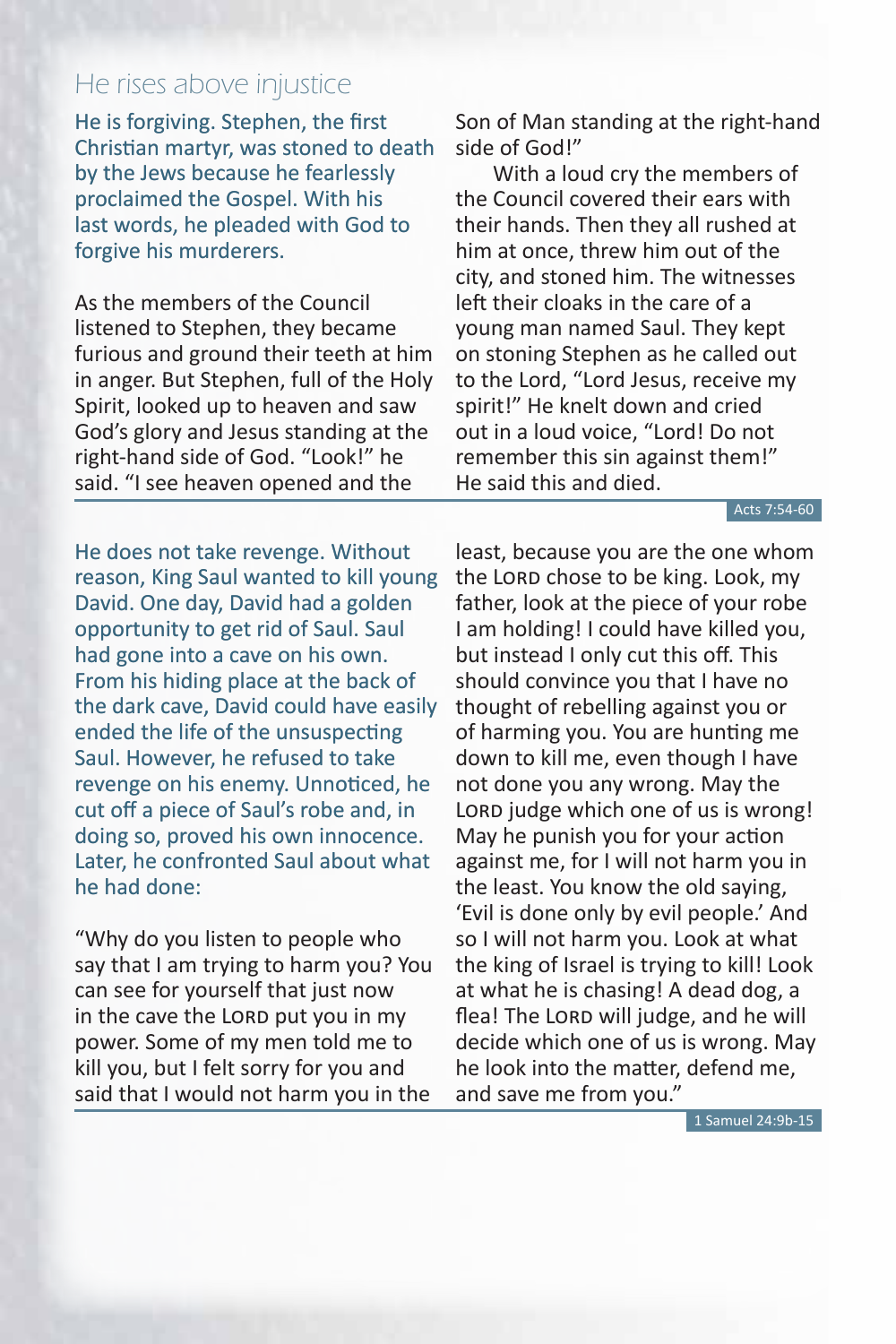#### He rises above injustice

He is forgiving. Stephen, the first Christian martyr, was stoned to death by the Jews because he fearlessly proclaimed the Gospel. With his last words, he pleaded with God to forgive his murderers.

As the members of the Council listened to Stephen, they became furious and ground their teeth at him in anger. But Stephen, full of the Holy Spirit, looked up to heaven and saw God's glory and Jesus standing at the right-hand side of God. "Look!" he said. "I see heaven opened and the

He does not take revenge. Without reason, King Saul wanted to kill young David. One day, David had a golden opportunity to get rid of Saul. Saul had gone into a cave on his own. From his hiding place at the back of the dark cave, David could have easily ended the life of the unsuspecting Saul. However, he refused to take revenge on his enemy. Unnoticed, he cut off a piece of Saul's robe and, in doing so, proved his own innocence. Later, he confronted Saul about what he had done:

"Why do you listen to people who say that I am trying to harm you? You can see for yourself that just now in the cave the LORD put you in my power. Some of my men told me to kill you, but I felt sorry for you and said that I would not harm you in the

Son of Man standing at the right-hand side of God!"

With a loud cry the members of the Council covered their ears with their hands. Then they all rushed at him at once, threw him out of the city, and stoned him. The witnesses left their cloaks in the care of a young man named Saul. They kept on stoning Stephen as he called out to the Lord, "Lord Jesus, receive my spirit!" He knelt down and cried out in a loud voice, "Lord! Do not remember this sin against them!" He said this and died.

Acts 7:54-60

least, because you are the one whom the LORD chose to be king. Look, my father, look at the piece of your robe I am holding! I could have killed you, but instead I only cut this off. This should convince you that I have no thought of rebelling against you or of harming you. You are hunting me down to kill me, even though I have not done you any wrong. May the LORD judge which one of us is wrong! May he punish you for your action against me, for I will not harm you in the least. You know the old saying, 'Evil is done only by evil people.' And so I will not harm you. Look at what the king of Israel is trying to kill! Look at what he is chasing! A dead dog, a flea! The LORD will judge, and he will decide which one of us is wrong. May he look into the matter, defend me, and save me from you."

1 Samuel 24:9b-15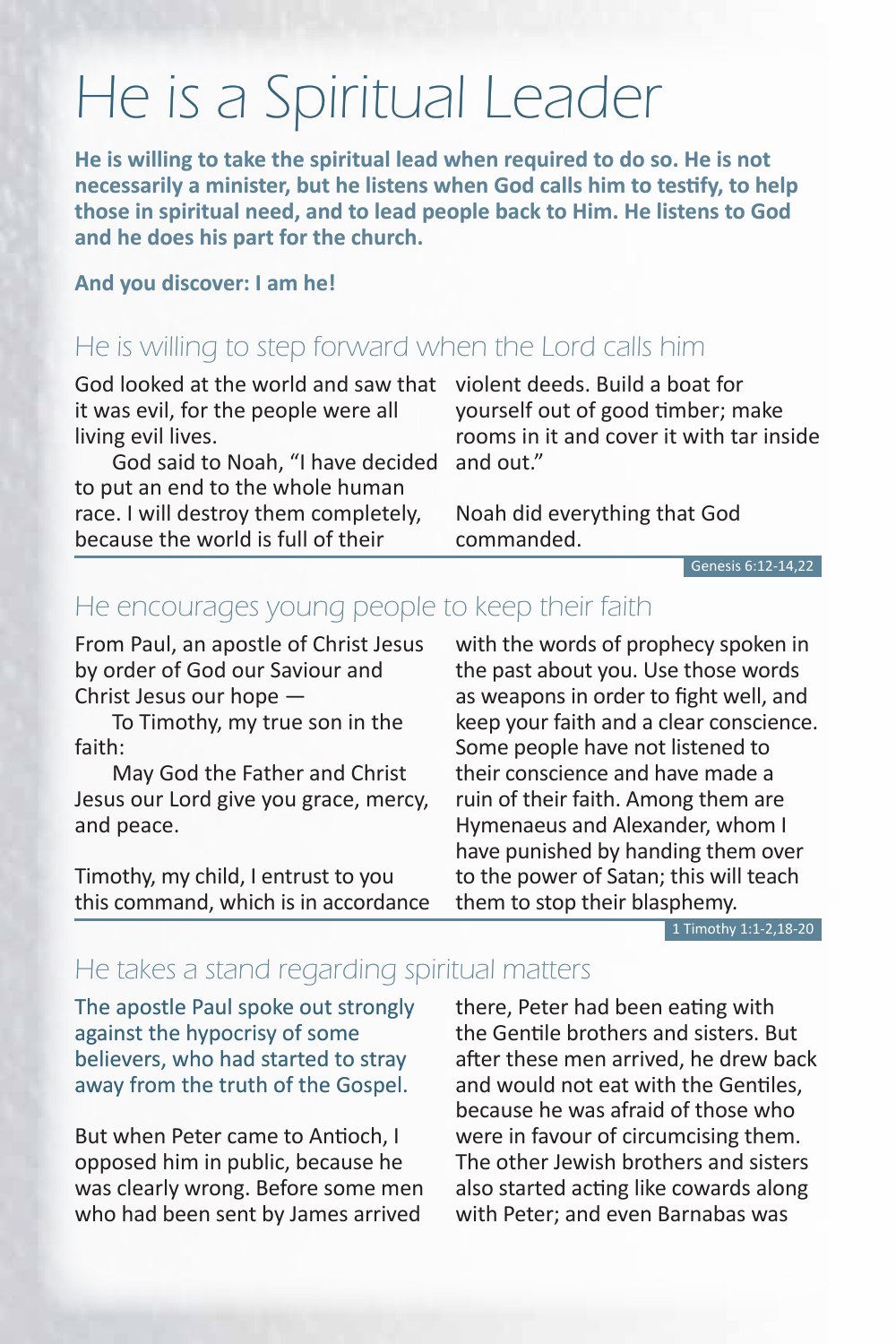## He is a Spiritual Leader

**He is willing to take the spiritual lead when required to do so. He is not necessarily a minister, but he listens when God calls him to testify, to help those in spiritual need, and to lead people back to Him. He listens to God and he does his part for the church.**

#### **And you discover: I am he!**

## He is willing to step forward when the Lord calls him

God looked at the world and saw that violent deeds. Build a boat for it was evil, for the people were all living evil lives.

God said to Noah, "I have decided to put an end to the whole human race. I will destroy them completely, because the world is full of their

yourself out of good timber; make rooms in it and cover it with tar inside and out."

Noah did everything that God commanded.

Genesis 6:12-14,22

## He encourages young people to keep their faith

From Paul, an apostle of Christ Jesus by order of God our Saviour and Christ Jesus our hope —

To Timothy, my true son in the faith:

May God the Father and Christ Jesus our Lord give you grace, mercy, and peace.

Timothy, my child, I entrust to you this command, which is in accordance with the words of prophecy spoken in the past about you. Use those words as weapons in order to fight well, and keep your faith and a clear conscience. Some people have not listened to their conscience and have made a ruin of their faith. Among them are Hymenaeus and Alexander, whom I have punished by handing them over to the power of Satan; this will teach them to stop their blasphemy.

1 Timothy 1:1-2,18-20

## He takes a stand regarding spiritual matters

The apostle Paul spoke out strongly against the hypocrisy of some believers, who had started to stray away from the truth of the Gospel.

But when Peter came to Antioch, I opposed him in public, because he was clearly wrong. Before some men who had been sent by James arrived

there, Peter had been eating with the Gentile brothers and sisters. But after these men arrived, he drew back and would not eat with the Gentiles, because he was afraid of those who were in favour of circumcising them. The other Jewish brothers and sisters also started acting like cowards along with Peter; and even Barnabas was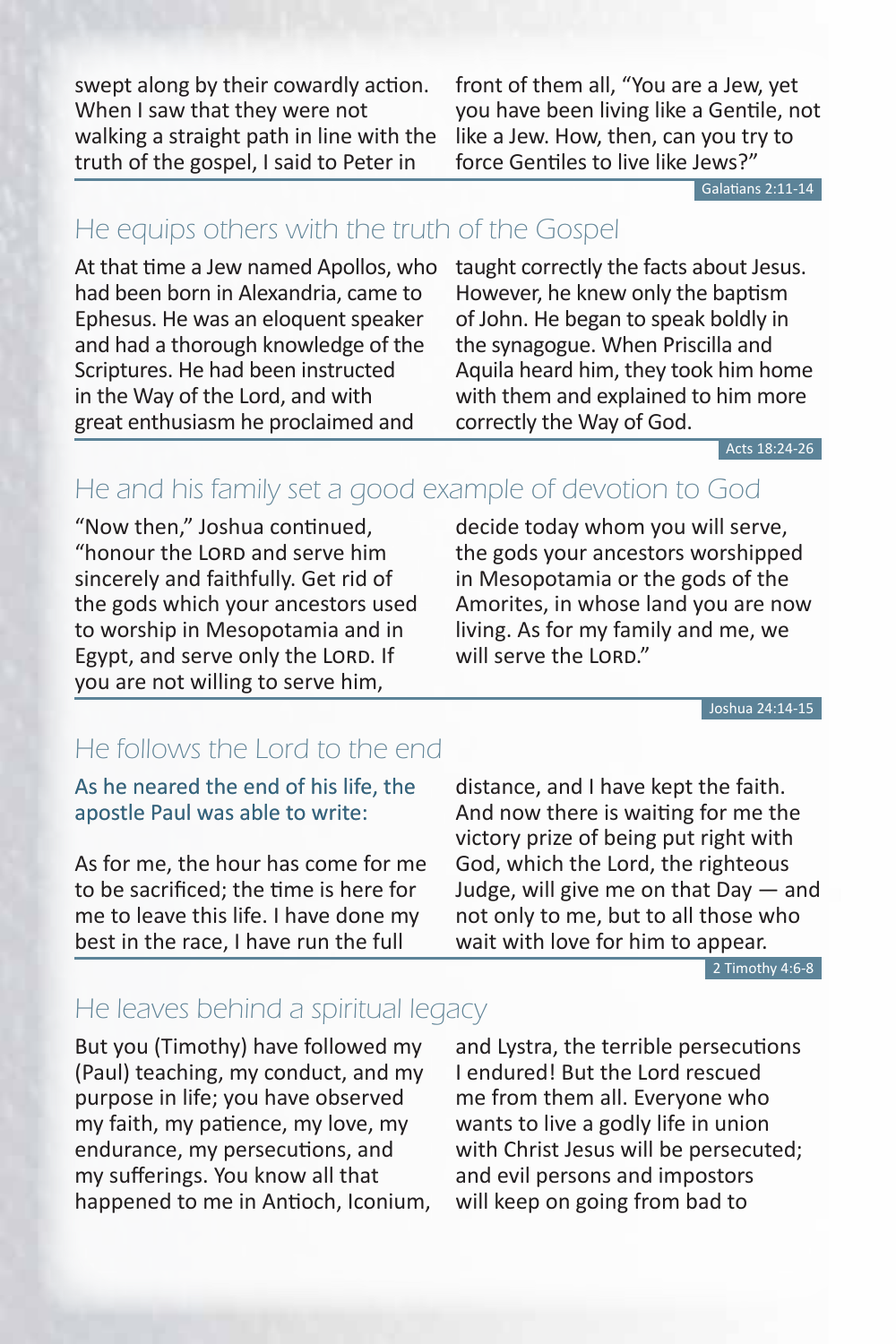swept along by their cowardly action. When I saw that they were not walking a straight path in line with the truth of the gospel, I said to Peter in

front of them all, "You are a Jew, yet you have been living like a Gentile, not like a Jew. How, then, can you try to force Gentiles to live like Jews?"

Galatians 2:11-14

#### He equips others with the truth of the Gospel

At that time a Jew named Apollos, who had been born in Alexandria, came to Ephesus. He was an eloquent speaker and had a thorough knowledge of the Scriptures. He had been instructed in the Way of the Lord, and with great enthusiasm he proclaimed and

taught correctly the facts about Jesus. However, he knew only the baptism of John. He began to speak boldly in the synagogue. When Priscilla and Aquila heard him, they took him home with them and explained to him more correctly the Way of God.

Acts 18:24-26

## He and his family set a good example of devotion to God

"Now then," Joshua continued, "honour the LORD and serve him sincerely and faithfully. Get rid of the gods which your ancestors used to worship in Mesopotamia and in Egypt, and serve only the LORD. If you are not willing to serve him,

decide today whom you will serve, the gods your ancestors worshipped in Mesopotamia or the gods of the Amorites, in whose land you are now living. As for my family and me, we will serve the LORD"

Joshua 24:14-15

#### He follows the Lord to the end

#### As he neared the end of his life, the apostle Paul was able to write:

As for me, the hour has come for me to be sacrificed; the time is here for me to leave this life. I have done my best in the race, I have run the full

distance, and I have kept the faith. And now there is waiting for me the victory prize of being put right with God, which the Lord, the righteous Judge, will give me on that Day — and not only to me, but to all those who wait with love for him to appear.

2 Timothy 4:6-8

#### He leaves behind a spiritual legacy

But you (Timothy) have followed my (Paul) teaching, my conduct, and my purpose in life; you have observed my faith, my patience, my love, my endurance, my persecutions, and my sufferings. You know all that happened to me in Antioch, Iconium, and Lystra, the terrible persecutions I endured! But the Lord rescued me from them all. Everyone who wants to live a godly life in union with Christ Jesus will be persecuted; and evil persons and impostors will keep on going from bad to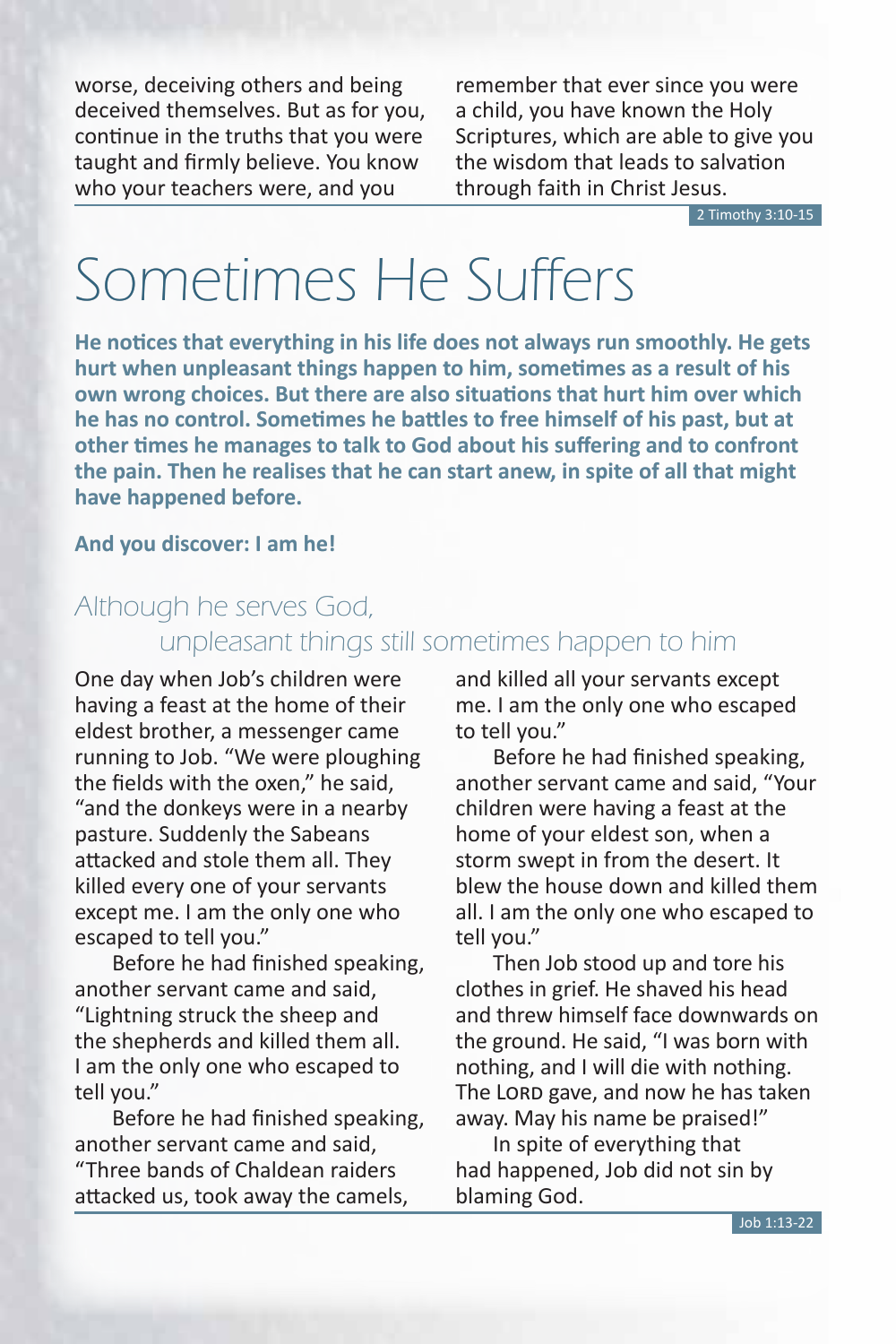worse, deceiving others and being deceived themselves. But as for you, continue in the truths that you were taught and firmly believe. You know who your teachers were, and you

remember that ever since you were a child, you have known the Holy Scriptures, which are able to give you the wisdom that leads to salvation through faith in Christ Jesus.

2 Timothy 3:10-15

## Sometimes He Suffers

**He notices that everything in his life does not always run smoothly. He gets hurt when unpleasant things happen to him, sometimes as a result of his own wrong choices. But there are also situations that hurt him over which he has no control. Sometimes he battles to free himself of his past, but at other times he manages to talk to God about his suffering and to confront the pain. Then he realises that he can start anew, in spite of all that might have happened before.**

**And you discover: I am he!**

## Although he serves God, unpleasant things still sometimes happen to him

One day when Job's children were having a feast at the home of their eldest brother, a messenger came running to Job. "We were ploughing the fields with the oxen," he said, "and the donkeys were in a nearby pasture. Suddenly the Sabeans attacked and stole them all. They killed every one of your servants except me. I am the only one who escaped to tell you."

Before he had finished speaking, another servant came and said, "Lightning struck the sheep and the shepherds and killed them all. I am the only one who escaped to tell you."

Before he had finished speaking, another servant came and said, "Three bands of Chaldean raiders attacked us, took away the camels,

and killed all your servants except me. I am the only one who escaped to tell you."

Before he had finished speaking, another servant came and said, "Your children were having a feast at the home of your eldest son, when a storm swept in from the desert. It blew the house down and killed them all. I am the only one who escaped to tell you."

Then Job stood up and tore his clothes in grief. He shaved his head and threw himself face downwards on the ground. He said, "I was born with nothing, and I will die with nothing. The LORD gave, and now he has taken away. May his name be praised!"

In spite of everything that had happened, Job did not sin by blaming God.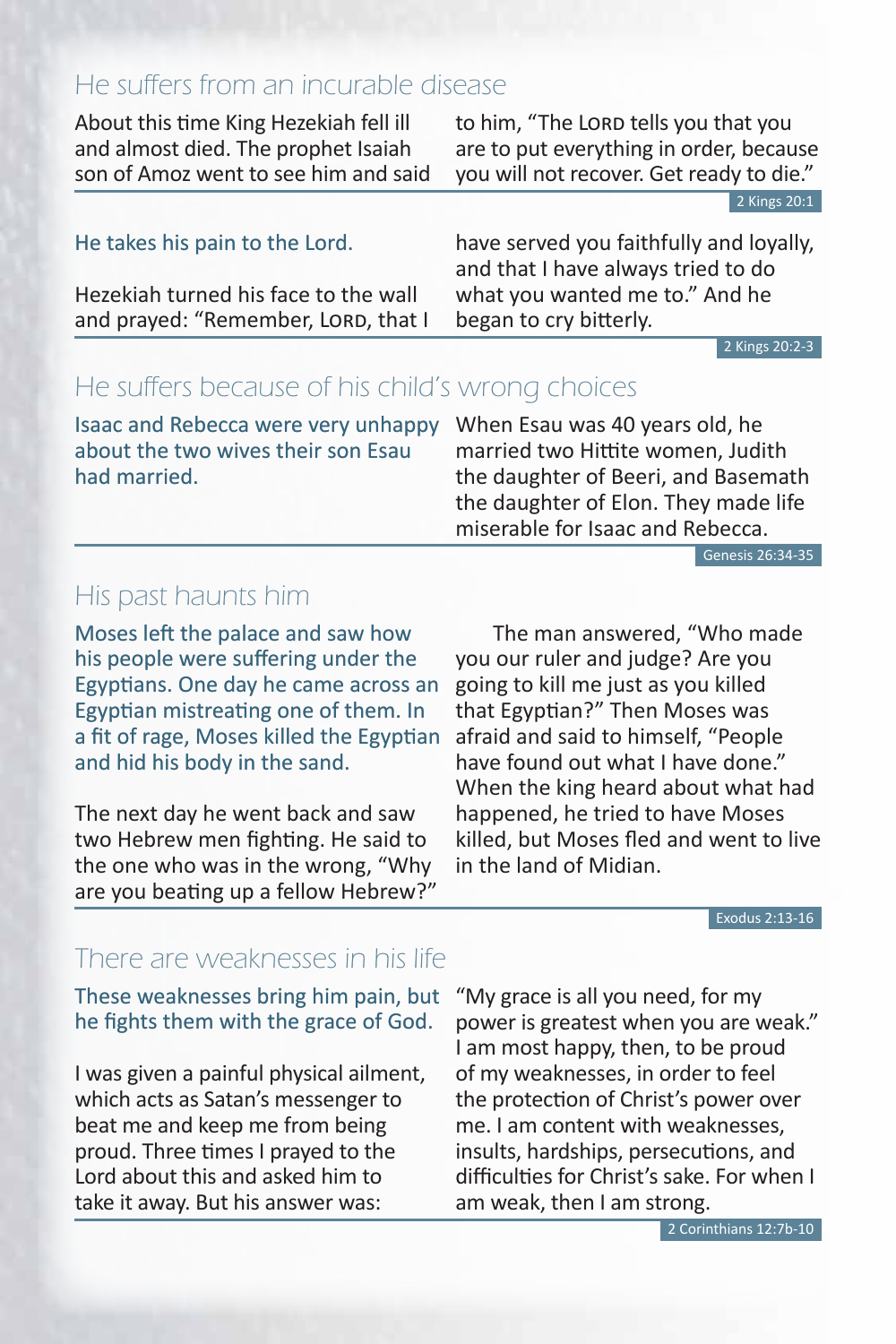### He suffers from an incurable disease

About this time King Hezekiah fell ill and almost died. The prophet Isaiah son of Amoz went to see him and said to him. "The LORD tells you that you are to put everything in order, because you will not recover. Get ready to die."

2 Kings 20:1

#### He takes his pain to the Lord.

Hezekiah turned his face to the wall and prayed: "Remember, LORD, that I have served you faithfully and loyally, and that I have always tried to do what you wanted me to." And he began to cry bitterly.

2 Kings 20:2-3

## He suffers because of his child's wrong choices

Isaac and Rebecca were very unhappy about the two wives their son Esau had married.

When Esau was 40 years old, he married two Hittite women, Judith the daughter of Beeri, and Basemath the daughter of Elon. They made life miserable for Isaac and Rebecca.

Genesis 26:34-35

## His past haunts him

Moses left the palace and saw how his people were suffering under the Egyptians. One day he came across an Egyptian mistreating one of them. In a fit of rage, Moses killed the Egyptian and hid his body in the sand.

The next day he went back and saw two Hebrew men fighting. He said to the one who was in the wrong, "Why are you beating up a fellow Hebrew?"

The man answered, "Who made you our ruler and judge? Are you going to kill me just as you killed that Egyptian?" Then Moses was afraid and said to himself, "People have found out what I have done." When the king heard about what had happened, he tried to have Moses killed, but Moses fled and went to live in the land of Midian.

Exodus 2:13-16

#### There are weaknesses in his life

#### These weaknesses bring him pain, but he fights them with the grace of God.

I was given a painful physical ailment, which acts as Satan's messenger to beat me and keep me from being proud. Three times I prayed to the Lord about this and asked him to take it away. But his answer was:

"My grace is all you need, for my power is greatest when you are weak." I am most happy, then, to be proud of my weaknesses, in order to feel the protection of Christ's power over me. I am content with weaknesses, insults, hardships, persecutions, and difficulties for Christ's sake. For when I am weak, then I am strong.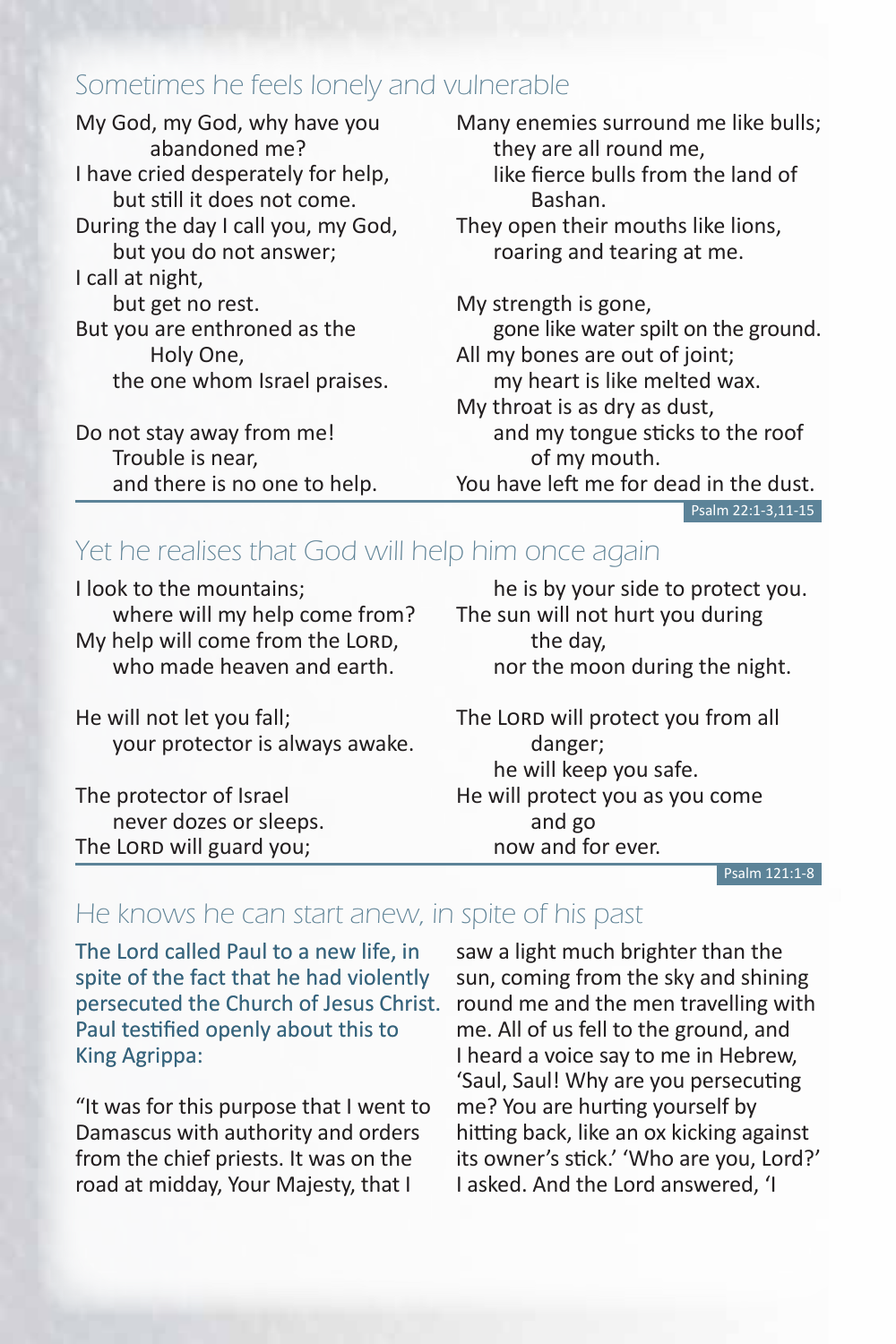#### Sometimes he feels lonely and vulnerable

| My God, my God, why have you<br>abandoned me? | Many enemies surround me like bulls;<br>they are all round me, |
|-----------------------------------------------|----------------------------------------------------------------|
| I have cried desperately for help,            | like fierce bulls from the land of                             |
| but still it does not come.                   | Bashan.                                                        |
| During the day I call you, my God,            | They open their mouths like lions,                             |
| but you do not answer;                        | roaring and tearing at me.                                     |
| I call at night,                              |                                                                |
| but get no rest.                              | My strength is gone,                                           |
| But you are enthroned as the                  | gone like water spilt on the ground.                           |
| Holy One,                                     | All my bones are out of joint;                                 |
| the one whom Israel praises.                  | my heart is like melted wax.                                   |
|                                               | My throat is as dry as dust,                                   |
| Do not stay away from me!                     | and my tongue sticks to the roof                               |
| Trouble is near,                              | of my mouth.                                                   |
| and there is no one to help.                  | You have left me for dead in the dust.                         |

Psalm 22:1-3,11-15

#### Yet he realises that God will help him once again

I look to the mountains; where will my help come from? My help will come from the LORD. who made heaven and earth.

He will not let you fall; your protector is always awake.

The protector of Israel never dozes or sleeps. The LORD will guard you;

he is by your side to protect you. The sun will not hurt you during the day, nor the moon during the night.

The LORD will protect you from all danger; he will keep you safe. He will protect you as you come and go now and for ever.

Psalm 121:1-8

### He knows he can start anew, in spite of his past

The Lord called Paul to a new life, in spite of the fact that he had violently persecuted the Church of Jesus Christ. Paul testified openly about this to King Agrippa:

"It was for this purpose that I went to Damascus with authority and orders from the chief priests. It was on the road at midday, Your Majesty, that I

saw a light much brighter than the sun, coming from the sky and shining round me and the men travelling with me. All of us fell to the ground, and I heard a voice say to me in Hebrew, 'Saul, Saul! Why are you persecuting me? You are hurting yourself by hitting back, like an ox kicking against its owner's stick.' 'Who are you, Lord?' I asked. And the Lord answered, 'I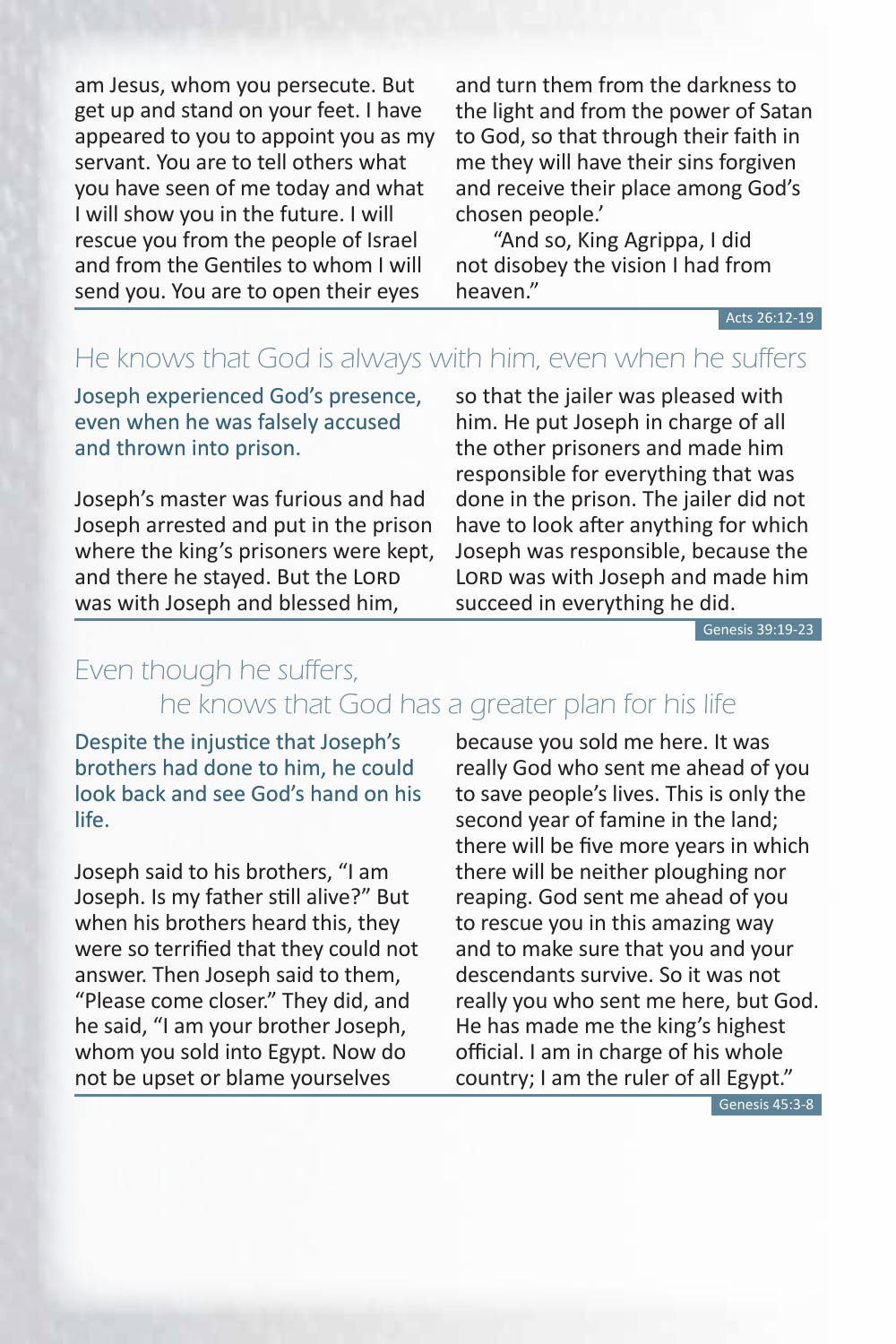am Jesus, whom you persecute. But get up and stand on your feet. I have appeared to you to appoint you as my servant. You are to tell others what you have seen of me today and what I will show you in the future. I will rescue you from the people of Israel and from the Gentiles to whom I will send you. You are to open their eyes

and turn them from the darkness to the light and from the power of Satan to God, so that through their faith in me they will have their sins forgiven and receive their place among God's chosen people.'

"And so, King Agrippa, I did not disobey the vision I had from heaven."

Acts 26:12-19

## He knows that God is always with him, even when he suffers

Joseph experienced God's presence, even when he was falsely accused and thrown into prison.

Joseph's master was furious and had Joseph arrested and put in the prison where the king's prisoners were kept, and there he stayed. But the LORD was with Joseph and blessed him,

so that the jailer was pleased with him. He put Joseph in charge of all the other prisoners and made him responsible for everything that was done in the prison. The jailer did not have to look after anything for which Joseph was responsible, because the LORD was with Joseph and made him succeed in everything he did.

Genesis 39:19-23

## Even though he suffers, he knows that God has a greater plan for his life

Despite the injustice that Joseph's brothers had done to him, he could look back and see God's hand on his life.

Joseph said to his brothers, "I am Joseph. Is my father still alive?" But when his brothers heard this, they were so terrified that they could not answer. Then Joseph said to them, "Please come closer." They did, and he said, "I am your brother Joseph, whom you sold into Egypt. Now do not be upset or blame yourselves

because you sold me here. It was really God who sent me ahead of you to save people's lives. This is only the second year of famine in the land; there will be five more years in which there will be neither ploughing nor reaping. God sent me ahead of you to rescue you in this amazing way and to make sure that you and your descendants survive. So it was not really you who sent me here, but God. He has made me the king's highest official. I am in charge of his whole country; I am the ruler of all Egypt."

Genesis 45:3-8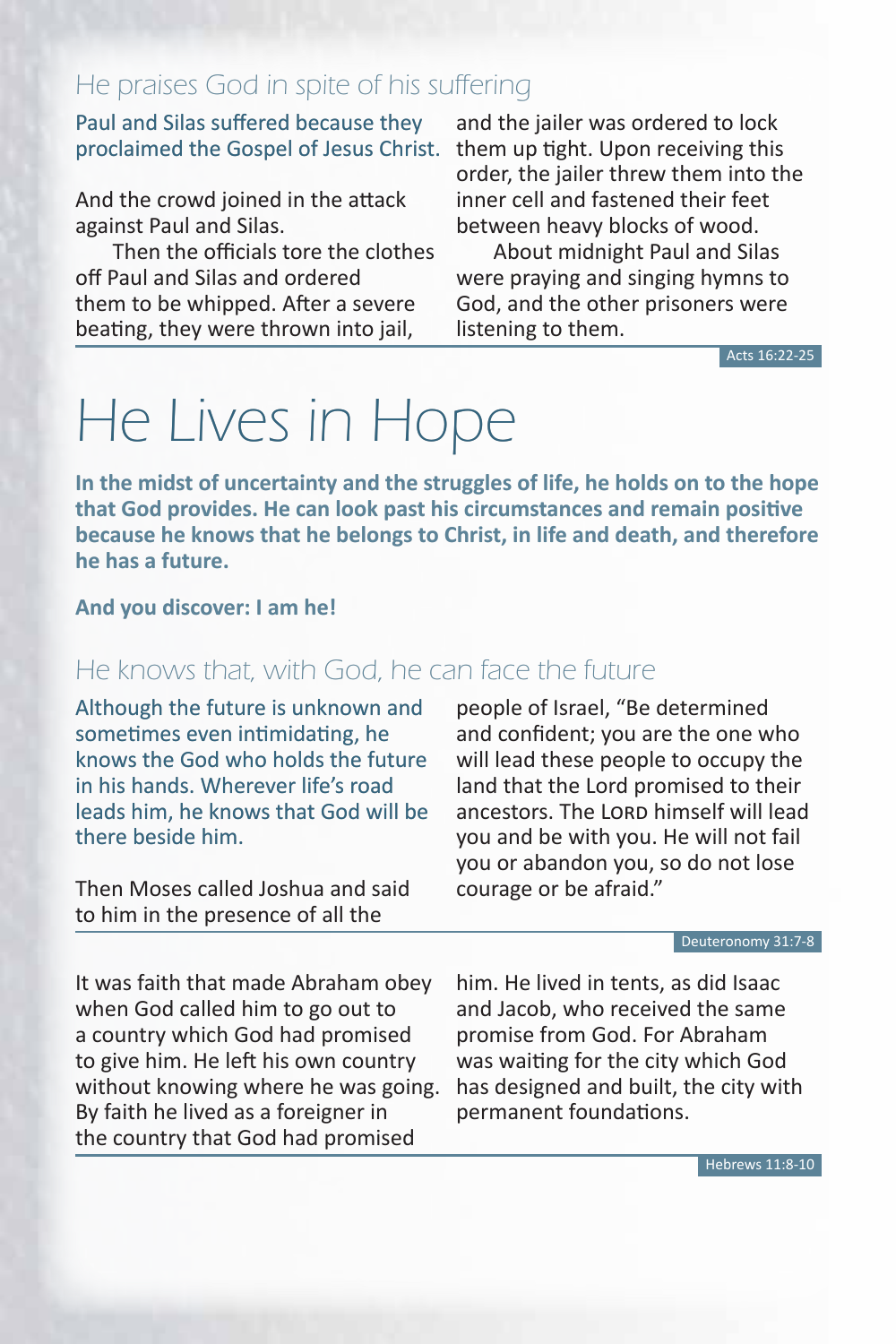## He praises God in spite of his suffering

Paul and Silas suffered because they proclaimed the Gospel of Jesus Christ.

And the crowd joined in the attack against Paul and Silas.

Then the officials tore the clothes off Paul and Silas and ordered them to be whipped. After a severe beating, they were thrown into jail,

and the jailer was ordered to lock them up tight. Upon receiving this order, the jailer threw them into the inner cell and fastened their feet between heavy blocks of wood.

About midnight Paul and Silas were praying and singing hymns to God, and the other prisoners were listening to them.

Acts 16:22-25

## He Lives in Hope

**In the midst of uncertainty and the struggles of life, he holds on to the hope that God provides. He can look past his circumstances and remain positive because he knows that he belongs to Christ, in life and death, and therefore he has a future.**

**And you discover: I am he!**

## He knows that, with God, he can face the future

Although the future is unknown and sometimes even intimidating, he knows the God who holds the future in his hands. Wherever life's road leads him, he knows that God will be there beside him.

Then Moses called Joshua and said to him in the presence of all the

people of Israel, "Be determined and confident; you are the one who will lead these people to occupy the land that the Lord promised to their ancestors. The LORD himself will lead you and be with you. He will not fail you or abandon you, so do not lose courage or be afraid."

#### Deuteronomy 31:7-8

It was faith that made Abraham obey when God called him to go out to a country which God had promised to give him. He left his own country without knowing where he was going. By faith he lived as a foreigner in the country that God had promised

him. He lived in tents, as did Isaac and Jacob, who received the same promise from God. For Abraham was waiting for the city which God has designed and built, the city with permanent foundations.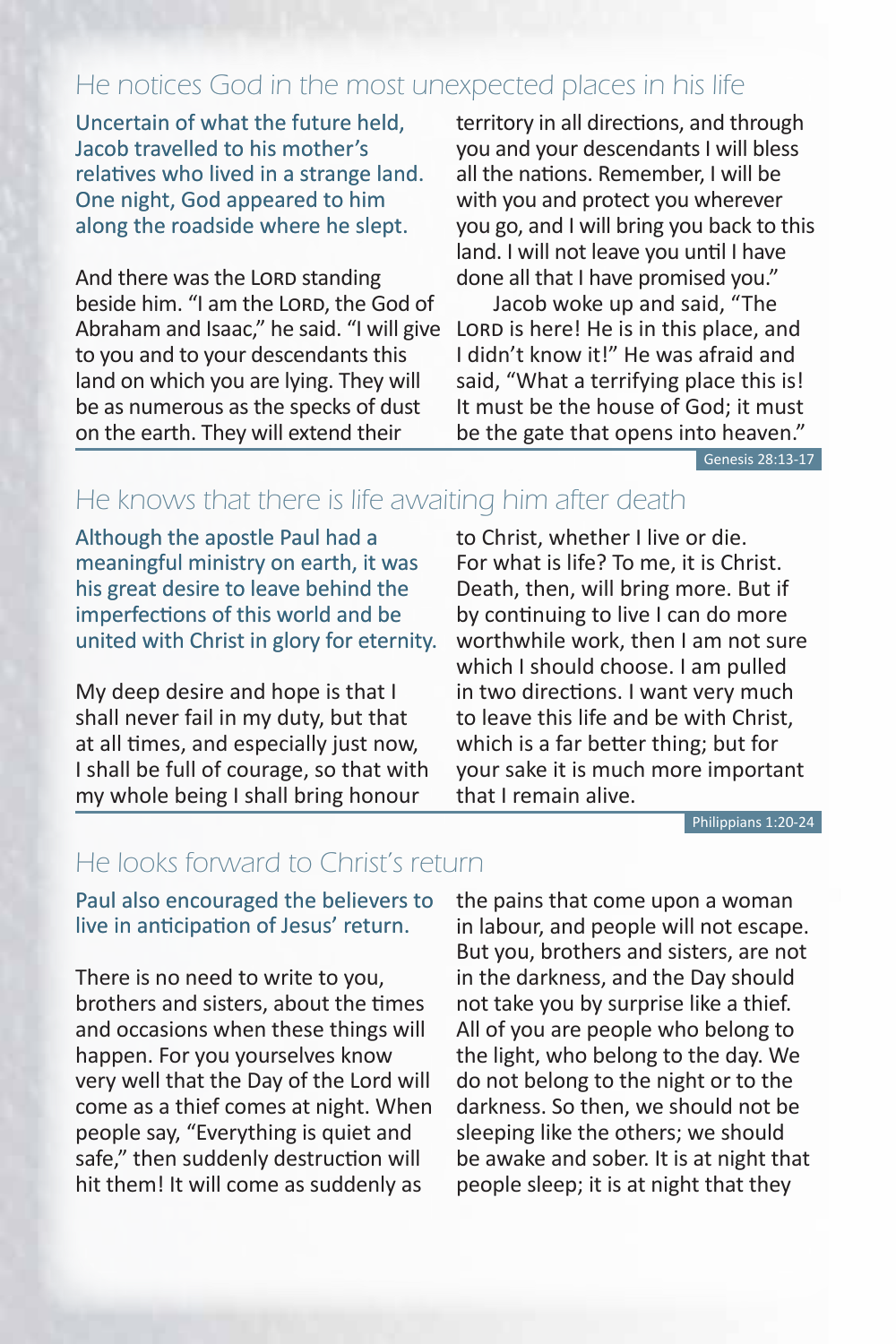#### He notices God in the most unexpected places in his life

Uncertain of what the future held, Jacob travelled to his mother's relatives who lived in a strange land. One night, God appeared to him along the roadside where he slept.

And there was the LORD standing beside him. "I am the LORD, the God of Abraham and Isaac," he said. "I will give to you and to your descendants this land on which you are lying. They will be as numerous as the specks of dust on the earth. They will extend their

territory in all directions, and through you and your descendants I will bless all the nations. Remember, I will be with you and protect you wherever you go, and I will bring you back to this land. I will not leave you until I have done all that I have promised you."

Jacob woke up and said, "The LORD is here! He is in this place, and I didn't know it!" He was afraid and said, "What a terrifying place this is! It must be the house of God; it must be the gate that opens into heaven."

Genesis 28:13-17

## He knows that there is life awaiting him after death

Although the apostle Paul had a meaningful ministry on earth, it was his great desire to leave behind the imperfections of this world and be united with Christ in glory for eternity.

My deep desire and hope is that I shall never fail in my duty, but that at all times, and especially just now, I shall be full of courage, so that with my whole being I shall bring honour

to Christ, whether I live or die. For what is life? To me, it is Christ. Death, then, will bring more. But if by continuing to live I can do more worthwhile work, then I am not sure which I should choose. I am pulled in two directions. I want very much to leave this life and be with Christ, which is a far better thing; but for your sake it is much more important that I remain alive.

Philippians 1:20-24

#### He looks forward to Christ's return

#### Paul also encouraged the believers to live in anticipation of Jesus' return.

There is no need to write to you, brothers and sisters, about the times and occasions when these things will happen. For you yourselves know very well that the Day of the Lord will come as a thief comes at night. When people say, "Everything is quiet and safe," then suddenly destruction will hit them! It will come as suddenly as

the pains that come upon a woman in labour, and people will not escape. But you, brothers and sisters, are not in the darkness, and the Day should not take you by surprise like a thief. All of you are people who belong to the light, who belong to the day. We do not belong to the night or to the darkness. So then, we should not be sleeping like the others; we should be awake and sober. It is at night that people sleep; it is at night that they